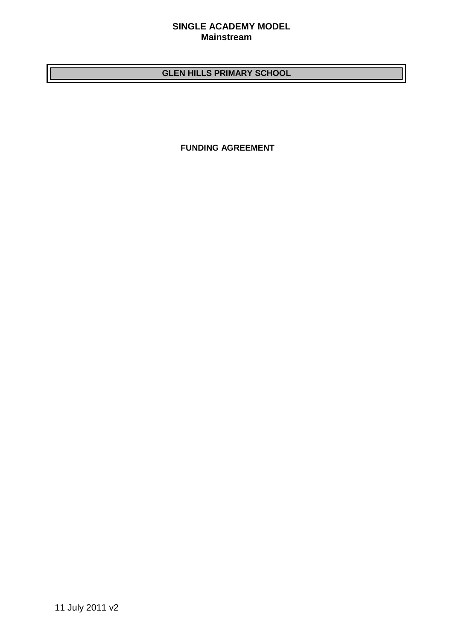## **SINGLE ACADEMY MODEL Mainstream**

# **GLEN HILLS PRIMARY SCHOOL**

**FUNDING AGREEMENT**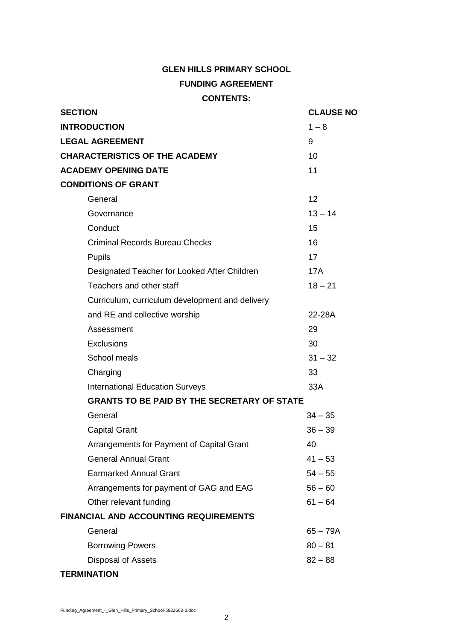# **GLEN HILLS PRIMARY SCHOOL FUNDING AGREEMENT CONTENTS:**

| <b>SECTION</b>                                     | <b>CLAUSE NO</b> |
|----------------------------------------------------|------------------|
| <b>INTRODUCTION</b>                                | $1 - 8$          |
| <b>LEGAL AGREEMENT</b>                             | 9                |
| <b>CHARACTERISTICS OF THE ACADEMY</b>              | 10               |
| <b>ACADEMY OPENING DATE</b>                        | 11               |
| <b>CONDITIONS OF GRANT</b>                         |                  |
| General                                            | 12               |
| Governance                                         | $13 - 14$        |
| Conduct                                            | 15               |
| <b>Criminal Records Bureau Checks</b>              | 16               |
| <b>Pupils</b>                                      | 17               |
| Designated Teacher for Looked After Children       | <b>17A</b>       |
| Teachers and other staff                           | $18 - 21$        |
| Curriculum, curriculum development and delivery    |                  |
| and RE and collective worship                      | 22-28A           |
| Assessment                                         | 29               |
| Exclusions                                         | 30               |
| School meals                                       | $31 - 32$        |
| Charging                                           | 33               |
| <b>International Education Surveys</b>             | 33A              |
| <b>GRANTS TO BE PAID BY THE SECRETARY OF STATE</b> |                  |
| General                                            | $34 - 35$        |
| <b>Capital Grant</b>                               | $36 - 39$        |
| Arrangements for Payment of Capital Grant          | 40               |
| <b>General Annual Grant</b>                        | $41 - 53$        |
| <b>Earmarked Annual Grant</b>                      | $54 - 55$        |
| Arrangements for payment of GAG and EAG            | $56 - 60$        |
| Other relevant funding                             | $61 - 64$        |
| <b>FINANCIAL AND ACCOUNTING REQUIREMENTS</b>       |                  |
| General                                            | $65 - 79A$       |
| <b>Borrowing Powers</b>                            | $80 - 81$        |
| Disposal of Assets                                 | $82 - 88$        |

# **TERMINATION**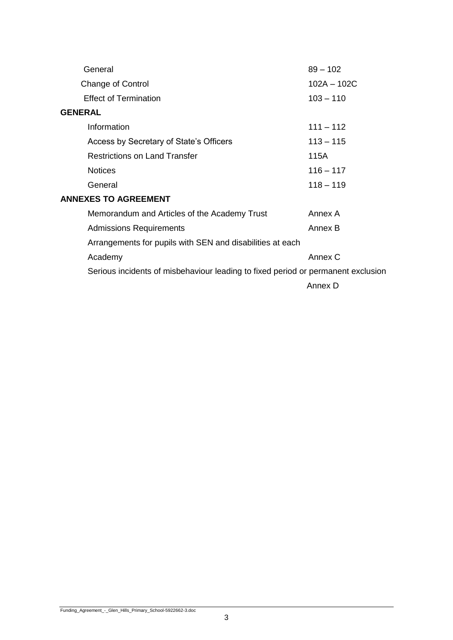| General                                                                          | $89 - 102$    |
|----------------------------------------------------------------------------------|---------------|
| <b>Change of Control</b>                                                         | $102A - 102C$ |
| <b>Effect of Termination</b>                                                     | $103 - 110$   |
| <b>GENERAL</b>                                                                   |               |
| Information                                                                      | $111 - 112$   |
| Access by Secretary of State's Officers                                          | $113 - 115$   |
| <b>Restrictions on Land Transfer</b>                                             | 115A          |
| <b>Notices</b>                                                                   | $116 - 117$   |
| General                                                                          | $118 - 119$   |
| <b>ANNEXES TO AGREEMENT</b>                                                      |               |
| Memorandum and Articles of the Academy Trust                                     | Annex A       |
| <b>Admissions Requirements</b>                                                   | Annex B       |
| Arrangements for pupils with SEN and disabilities at each                        |               |
| Academy                                                                          | Annex C       |
| Serious incidents of misbehaviour leading to fixed period or permanent exclusion |               |
|                                                                                  | Annex D       |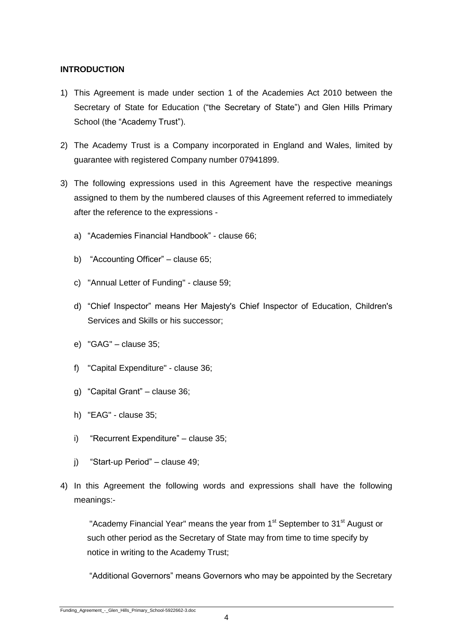## **INTRODUCTION**

- 1) This Agreement is made under section 1 of the Academies Act 2010 between the Secretary of State for Education ("the Secretary of State") and Glen Hills Primary School (the "Academy Trust").
- 2) The Academy Trust is a Company incorporated in England and Wales, limited by guarantee with registered Company number 07941899.
- 3) The following expressions used in this Agreement have the respective meanings assigned to them by the numbered clauses of this Agreement referred to immediately after the reference to the expressions
	- a) "Academies Financial Handbook" clause 66;
	- b) "Accounting Officer" clause 65;
	- c) "Annual Letter of Funding" clause 59;
	- d) "Chief Inspector" means Her Majesty's Chief Inspector of Education, Children's Services and Skills or his successor;
	- e) "GAG" clause 35;
	- f) "Capital Expenditure" clause 36;
	- g) "Capital Grant" clause 36;
	- h) "EAG" clause 35;
	- i) "Recurrent Expenditure" clause 35;
	- j) "Start-up Period" clause 49;
- 4) In this Agreement the following words and expressions shall have the following meanings:-

"Academy Financial Year" means the year from 1<sup>st</sup> September to 31<sup>st</sup> August or such other period as the Secretary of State may from time to time specify by notice in writing to the Academy Trust;

"Additional Governors" means Governors who may be appointed by the Secretary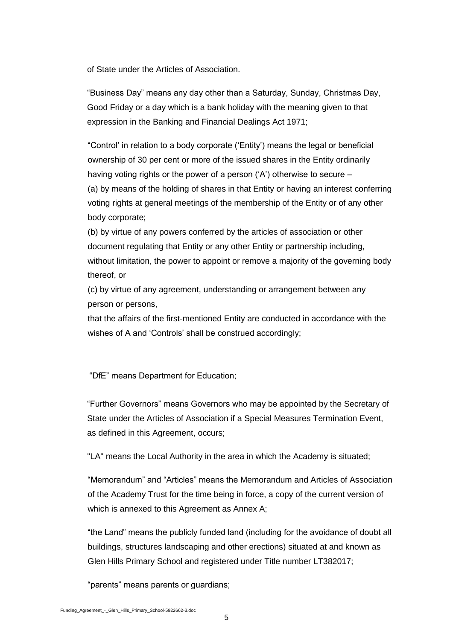of State under the Articles of Association.

"Business Day" means any day other than a Saturday, Sunday, Christmas Day, Good Friday or a day which is a bank holiday with the meaning given to that expression in the Banking and Financial Dealings Act 1971;

"Control' in relation to a body corporate ('Entity') means the legal or beneficial ownership of 30 per cent or more of the issued shares in the Entity ordinarily having voting rights or the power of a person ('A') otherwise to secure – (a) by means of the holding of shares in that Entity or having an interest conferring voting rights at general meetings of the membership of the Entity or of any other body corporate;

(b) by virtue of any powers conferred by the articles of association or other document regulating that Entity or any other Entity or partnership including, without limitation, the power to appoint or remove a majority of the governing body thereof, or

(c) by virtue of any agreement, understanding or arrangement between any person or persons,

that the affairs of the first-mentioned Entity are conducted in accordance with the wishes of A and 'Controls' shall be construed accordingly;

"DfE" means Department for Education;

"Further Governors" means Governors who may be appointed by the Secretary of State under the Articles of Association if a Special Measures Termination Event, as defined in this Agreement, occurs;

"LA" means the Local Authority in the area in which the Academy is situated;

"Memorandum" and "Articles" means the Memorandum and Articles of Association of the Academy Trust for the time being in force, a copy of the current version of which is annexed to this Agreement as Annex A;

"the Land" means the publicly funded land (including for the avoidance of doubt all buildings, structures landscaping and other erections) situated at and known as Glen Hills Primary School and registered under Title number LT382017;

"parents" means parents or guardians;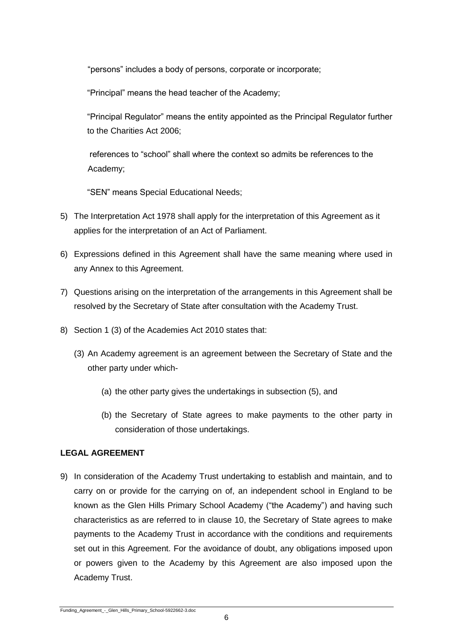"persons" includes a body of persons, corporate or incorporate;

"Principal" means the head teacher of the Academy;

"Principal Regulator" means the entity appointed as the Principal Regulator further to the Charities Act 2006;

references to "school" shall where the context so admits be references to the Academy;

"SEN" means Special Educational Needs;

- 5) The Interpretation Act 1978 shall apply for the interpretation of this Agreement as it applies for the interpretation of an Act of Parliament.
- 6) Expressions defined in this Agreement shall have the same meaning where used in any Annex to this Agreement.
- 7) Questions arising on the interpretation of the arrangements in this Agreement shall be resolved by the Secretary of State after consultation with the Academy Trust.
- 8) Section 1 (3) of the Academies Act 2010 states that:
	- (3) An Academy agreement is an agreement between the Secretary of State and the other party under which-
		- (a) the other party gives the undertakings in subsection (5), and
		- (b) the Secretary of State agrees to make payments to the other party in consideration of those undertakings.

# **LEGAL AGREEMENT**

9) In consideration of the Academy Trust undertaking to establish and maintain, and to carry on or provide for the carrying on of, an independent school in England to be known as the Glen Hills Primary School Academy ("the Academy") and having such characteristics as are referred to in clause 10, the Secretary of State agrees to make payments to the Academy Trust in accordance with the conditions and requirements set out in this Agreement. For the avoidance of doubt, any obligations imposed upon or powers given to the Academy by this Agreement are also imposed upon the Academy Trust.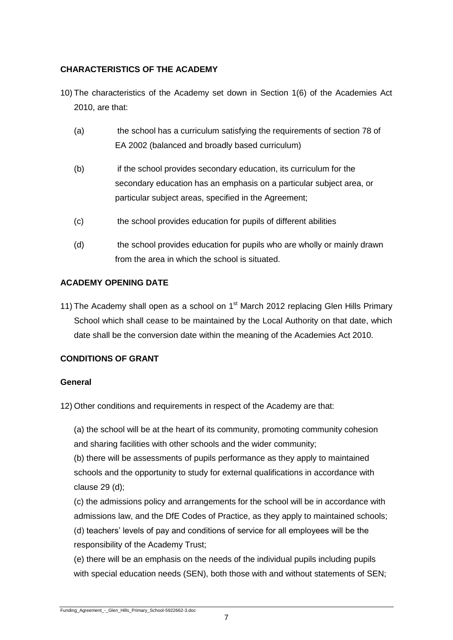# **CHARACTERISTICS OF THE ACADEMY**

- 10) The characteristics of the Academy set down in Section 1(6) of the Academies Act 2010, are that:
	- (a) the school has a curriculum satisfying the requirements of section 78 of EA 2002 (balanced and broadly based curriculum)
	- (b) if the school provides secondary education, its curriculum for the secondary education has an emphasis on a particular subject area, or particular subject areas, specified in the Agreement;
	- (c) the school provides education for pupils of different abilities
	- (d) the school provides education for pupils who are wholly or mainly drawn from the area in which the school is situated.

# **ACADEMY OPENING DATE**

11) The Academy shall open as a school on  $1<sup>st</sup>$  March 2012 replacing Glen Hills Primary School which shall cease to be maintained by the Local Authority on that date, which date shall be the conversion date within the meaning of the Academies Act 2010.

# **CONDITIONS OF GRANT**

## **General**

12) Other conditions and requirements in respect of the Academy are that:

(a) the school will be at the heart of its community, promoting community cohesion and sharing facilities with other schools and the wider community;

(b) there will be assessments of pupils performance as they apply to maintained schools and the opportunity to study for external qualifications in accordance with clause 29 (d);

(c) the admissions policy and arrangements for the school will be in accordance with admissions law, and the DfE Codes of Practice, as they apply to maintained schools; (d) teachers' levels of pay and conditions of service for all employees will be the

responsibility of the Academy Trust;

(e) there will be an emphasis on the needs of the individual pupils including pupils with special education needs (SEN), both those with and without statements of SEN;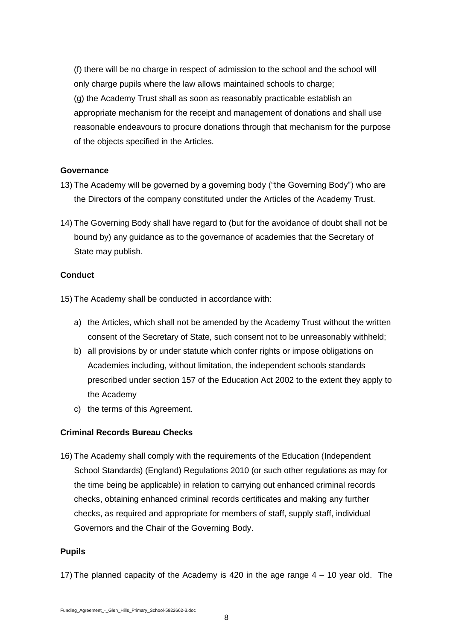(f) there will be no charge in respect of admission to the school and the school will only charge pupils where the law allows maintained schools to charge; (g) the Academy Trust shall as soon as reasonably practicable establish an appropriate mechanism for the receipt and management of donations and shall use reasonable endeavours to procure donations through that mechanism for the purpose of the objects specified in the Articles.

## **Governance**

- 13) The Academy will be governed by a governing body ("the Governing Body") who are the Directors of the company constituted under the Articles of the Academy Trust.
- 14) The Governing Body shall have regard to (but for the avoidance of doubt shall not be bound by) any guidance as to the governance of academies that the Secretary of State may publish.

# **Conduct**

15) The Academy shall be conducted in accordance with:

- a) the Articles, which shall not be amended by the Academy Trust without the written consent of the Secretary of State, such consent not to be unreasonably withheld;
- b) all provisions by or under statute which confer rights or impose obligations on Academies including, without limitation, the independent schools standards prescribed under section 157 of the Education Act 2002 to the extent they apply to the Academy
- c) the terms of this Agreement.

# **Criminal Records Bureau Checks**

16) The Academy shall comply with the requirements of the Education (Independent School Standards) (England) Regulations 2010 (or such other regulations as may for the time being be applicable) in relation to carrying out enhanced criminal records checks, obtaining enhanced criminal records certificates and making any further checks, as required and appropriate for members of staff, supply staff, individual Governors and the Chair of the Governing Body.

## **Pupils**

17) The planned capacity of the Academy is 420 in the age range 4 – 10 year old. The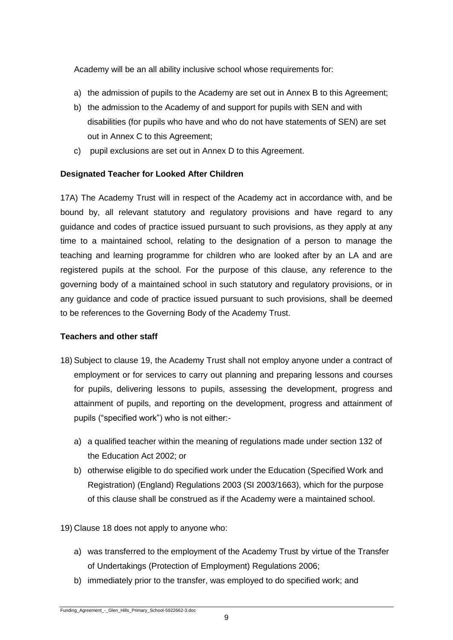Academy will be an all ability inclusive school whose requirements for:

- a) the admission of pupils to the Academy are set out in Annex B to this Agreement;
- b) the admission to the Academy of and support for pupils with SEN and with disabilities (for pupils who have and who do not have statements of SEN) are set out in Annex C to this Agreement;
- c) pupil exclusions are set out in Annex D to this Agreement.

# **Designated Teacher for Looked After Children**

17A) The Academy Trust will in respect of the Academy act in accordance with, and be bound by, all relevant statutory and regulatory provisions and have regard to any guidance and codes of practice issued pursuant to such provisions, as they apply at any time to a maintained school, relating to the designation of a person to manage the teaching and learning programme for children who are looked after by an LA and are registered pupils at the school. For the purpose of this clause, any reference to the governing body of a maintained school in such statutory and regulatory provisions, or in any guidance and code of practice issued pursuant to such provisions, shall be deemed to be references to the Governing Body of the Academy Trust.

## **Teachers and other staff**

- 18) Subject to clause 19, the Academy Trust shall not employ anyone under a contract of employment or for services to carry out planning and preparing lessons and courses for pupils, delivering lessons to pupils, assessing the development, progress and attainment of pupils, and reporting on the development, progress and attainment of pupils ("specified work") who is not either:
	- a) a qualified teacher within the meaning of regulations made under section 132 of the Education Act 2002; or
	- b) otherwise eligible to do specified work under the Education (Specified Work and Registration) (England) Regulations 2003 (SI 2003/1663), which for the purpose of this clause shall be construed as if the Academy were a maintained school.
- 19) Clause 18 does not apply to anyone who:
	- a) was transferred to the employment of the Academy Trust by virtue of the Transfer of Undertakings (Protection of Employment) Regulations 2006;
	- b) immediately prior to the transfer, was employed to do specified work; and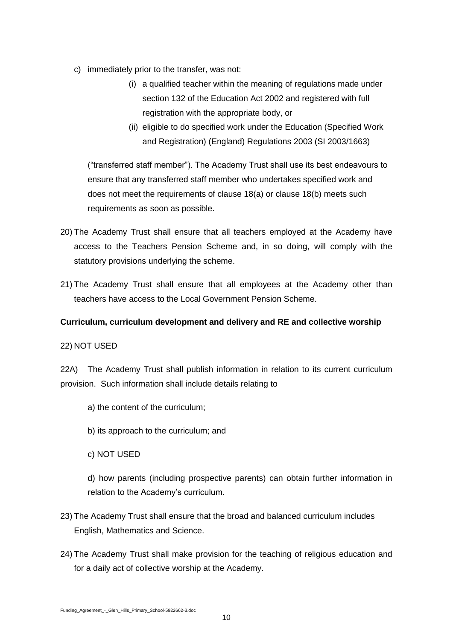- c) immediately prior to the transfer, was not:
	- (i) a qualified teacher within the meaning of regulations made under section 132 of the Education Act 2002 and registered with full registration with the appropriate body, or
	- (ii) eligible to do specified work under the Education (Specified Work and Registration) (England) Regulations 2003 (SI 2003/1663)

("transferred staff member"). The Academy Trust shall use its best endeavours to ensure that any transferred staff member who undertakes specified work and does not meet the requirements of clause 18(a) or clause 18(b) meets such requirements as soon as possible.

- 20) The Academy Trust shall ensure that all teachers employed at the Academy have access to the Teachers Pension Scheme and, in so doing, will comply with the statutory provisions underlying the scheme.
- 21) The Academy Trust shall ensure that all employees at the Academy other than teachers have access to the Local Government Pension Scheme.

# **Curriculum, curriculum development and delivery and RE and collective worship**

## 22) NOT USED

22A) The Academy Trust shall publish information in relation to its current curriculum provision. Such information shall include details relating to

- a) the content of the curriculum;
- b) its approach to the curriculum; and
- c) NOT USED

d) how parents (including prospective parents) can obtain further information in relation to the Academy's curriculum.

- 23) The Academy Trust shall ensure that the broad and balanced curriculum includes English, Mathematics and Science.
- 24) The Academy Trust shall make provision for the teaching of religious education and for a daily act of collective worship at the Academy.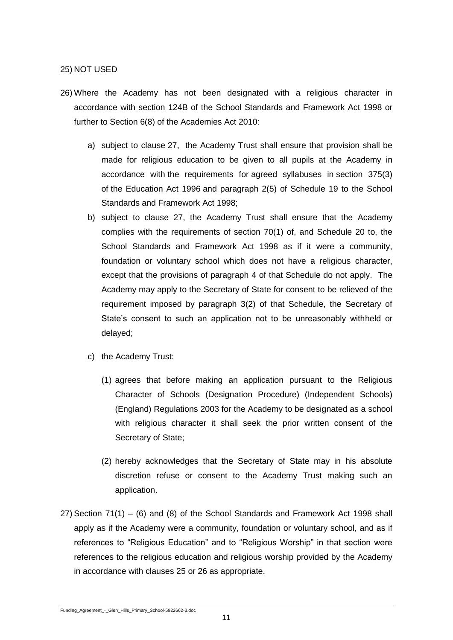#### 25) NOT USED

- 26) Where the Academy has not been designated with a religious character in accordance with section 124B of the School Standards and Framework Act 1998 or further to Section 6(8) of the Academies Act 2010:
	- a) subject to clause 27, the Academy Trust shall ensure that provision shall be made for religious education to be given to all pupils at the Academy in accordance with the requirements for agreed syllabuses in section 375(3) of the Education Act 1996 and paragraph 2(5) of Schedule 19 to the School Standards and Framework Act 1998;
	- b) subject to clause 27, the Academy Trust shall ensure that the Academy complies with the requirements of section 70(1) of, and Schedule 20 to, the School Standards and Framework Act 1998 as if it were a community, foundation or voluntary school which does not have a religious character, except that the provisions of paragraph 4 of that Schedule do not apply. The Academy may apply to the Secretary of State for consent to be relieved of the requirement imposed by paragraph 3(2) of that Schedule, the Secretary of State's consent to such an application not to be unreasonably withheld or delayed;
	- c) the Academy Trust:
		- (1) agrees that before making an application pursuant to the Religious Character of Schools (Designation Procedure) (Independent Schools) (England) Regulations 2003 for the Academy to be designated as a school with religious character it shall seek the prior written consent of the Secretary of State;
		- (2) hereby acknowledges that the Secretary of State may in his absolute discretion refuse or consent to the Academy Trust making such an application.
- 27) Section 71(1) (6) and (8) of the School Standards and Framework Act 1998 shall apply as if the Academy were a community, foundation or voluntary school, and as if references to "Religious Education" and to "Religious Worship" in that section were references to the religious education and religious worship provided by the Academy in accordance with clauses 25 or 26 as appropriate.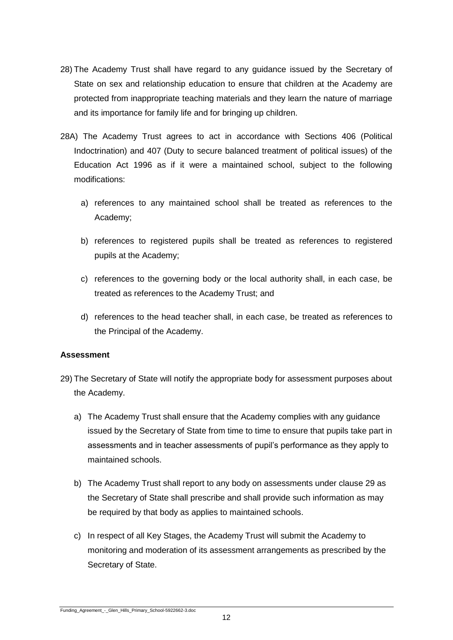- 28) The Academy Trust shall have regard to any guidance issued by the Secretary of State on sex and relationship education to ensure that children at the Academy are protected from inappropriate teaching materials and they learn the nature of marriage and its importance for family life and for bringing up children.
- 28A) The Academy Trust agrees to act in accordance with Sections 406 (Political Indoctrination) and 407 (Duty to secure balanced treatment of political issues) of the Education Act 1996 as if it were a maintained school, subject to the following modifications:
	- a) references to any maintained school shall be treated as references to the Academy;
	- b) references to registered pupils shall be treated as references to registered pupils at the Academy;
	- c) references to the governing body or the local authority shall, in each case, be treated as references to the Academy Trust; and
	- d) references to the head teacher shall, in each case, be treated as references to the Principal of the Academy.

#### **Assessment**

- 29) The Secretary of State will notify the appropriate body for assessment purposes about the Academy.
	- a) The Academy Trust shall ensure that the Academy complies with any guidance issued by the Secretary of State from time to time to ensure that pupils take part in assessments and in teacher assessments of pupil's performance as they apply to maintained schools.
	- b) The Academy Trust shall report to any body on assessments under clause 29 as the Secretary of State shall prescribe and shall provide such information as may be required by that body as applies to maintained schools.
	- c) In respect of all Key Stages, the Academy Trust will submit the Academy to monitoring and moderation of its assessment arrangements as prescribed by the Secretary of State.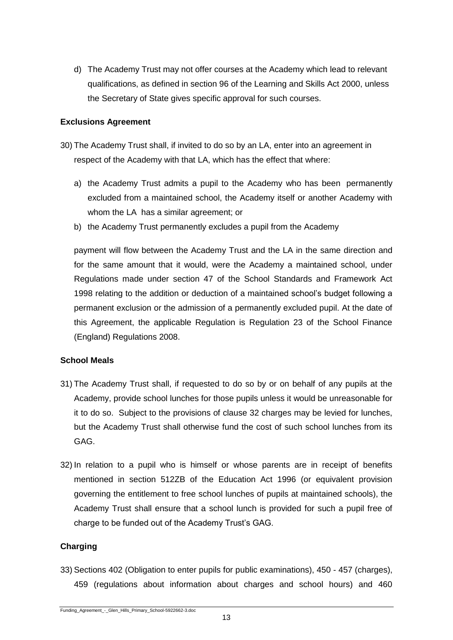d) The Academy Trust may not offer courses at the Academy which lead to relevant qualifications, as defined in section 96 of the Learning and Skills Act 2000, unless the Secretary of State gives specific approval for such courses.

#### **Exclusions Agreement**

- 30) The Academy Trust shall, if invited to do so by an LA, enter into an agreement in respect of the Academy with that LA, which has the effect that where:
	- a) the Academy Trust admits a pupil to the Academy who has been permanently excluded from a maintained school, the Academy itself or another Academy with whom the LA has a similar agreement; or
	- b) the Academy Trust permanently excludes a pupil from the Academy

payment will flow between the Academy Trust and the LA in the same direction and for the same amount that it would, were the Academy a maintained school, under Regulations made under section 47 of the School Standards and Framework Act 1998 relating to the addition or deduction of a maintained school's budget following a permanent exclusion or the admission of a permanently excluded pupil. At the date of this Agreement, the applicable Regulation is Regulation 23 of the School Finance (England) Regulations 2008.

## **School Meals**

- 31) The Academy Trust shall, if requested to do so by or on behalf of any pupils at the Academy, provide school lunches for those pupils unless it would be unreasonable for it to do so. Subject to the provisions of clause 32 charges may be levied for lunches, but the Academy Trust shall otherwise fund the cost of such school lunches from its GAG.
- 32) In relation to a pupil who is himself or whose parents are in receipt of benefits mentioned in section 512ZB of the Education Act 1996 (or equivalent provision governing the entitlement to free school lunches of pupils at maintained schools), the Academy Trust shall ensure that a school lunch is provided for such a pupil free of charge to be funded out of the Academy Trust's GAG.

## **Charging**

33) Sections 402 (Obligation to enter pupils for public examinations), 450 - 457 (charges), 459 (regulations about information about charges and school hours) and 460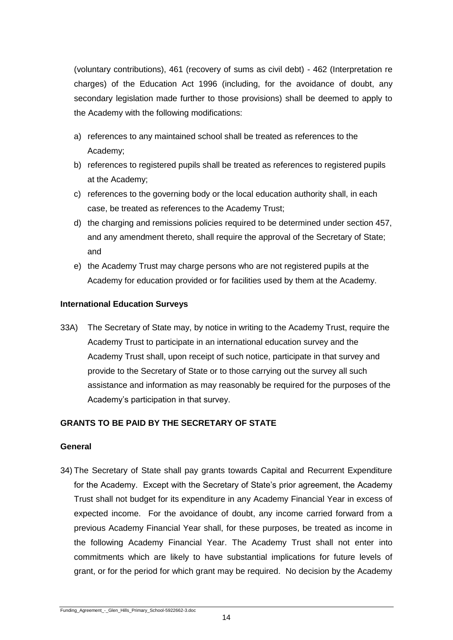(voluntary contributions), 461 (recovery of sums as civil debt) - 462 (Interpretation re charges) of the Education Act 1996 (including, for the avoidance of doubt, any secondary legislation made further to those provisions) shall be deemed to apply to the Academy with the following modifications:

- a) references to any maintained school shall be treated as references to the Academy;
- b) references to registered pupils shall be treated as references to registered pupils at the Academy;
- c) references to the governing body or the local education authority shall, in each case, be treated as references to the Academy Trust;
- d) the charging and remissions policies required to be determined under section 457, and any amendment thereto, shall require the approval of the Secretary of State; and
- e) the Academy Trust may charge persons who are not registered pupils at the Academy for education provided or for facilities used by them at the Academy.

## **International Education Surveys**

33A) The Secretary of State may, by notice in writing to the Academy Trust, require the Academy Trust to participate in an international education survey and the Academy Trust shall, upon receipt of such notice, participate in that survey and provide to the Secretary of State or to those carrying out the survey all such assistance and information as may reasonably be required for the purposes of the Academy's participation in that survey.

## **GRANTS TO BE PAID BY THE SECRETARY OF STATE**

## **General**

34) The Secretary of State shall pay grants towards Capital and Recurrent Expenditure for the Academy. Except with the Secretary of State's prior agreement, the Academy Trust shall not budget for its expenditure in any Academy Financial Year in excess of expected income. For the avoidance of doubt, any income carried forward from a previous Academy Financial Year shall, for these purposes, be treated as income in the following Academy Financial Year. The Academy Trust shall not enter into commitments which are likely to have substantial implications for future levels of grant, or for the period for which grant may be required. No decision by the Academy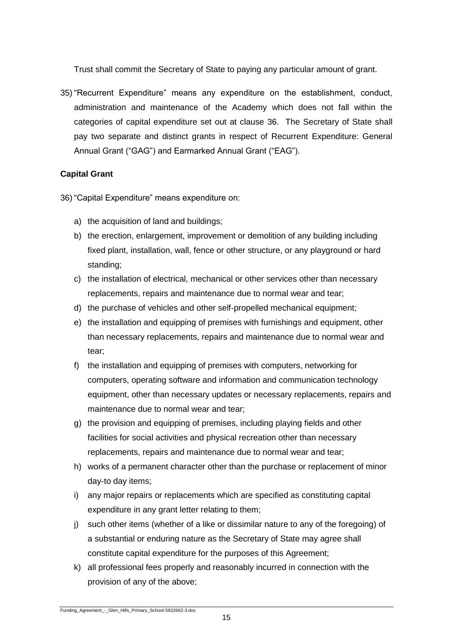Trust shall commit the Secretary of State to paying any particular amount of grant.

35) "Recurrent Expenditure" means any expenditure on the establishment, conduct, administration and maintenance of the Academy which does not fall within the categories of capital expenditure set out at clause 36. The Secretary of State shall pay two separate and distinct grants in respect of Recurrent Expenditure: General Annual Grant ("GAG") and Earmarked Annual Grant ("EAG").

# **Capital Grant**

36) "Capital Expenditure" means expenditure on:

- a) the acquisition of land and buildings;
- b) the erection, enlargement, improvement or demolition of any building including fixed plant, installation, wall, fence or other structure, or any playground or hard standing;
- c) the installation of electrical, mechanical or other services other than necessary replacements, repairs and maintenance due to normal wear and tear;
- d) the purchase of vehicles and other self-propelled mechanical equipment;
- e) the installation and equipping of premises with furnishings and equipment, other than necessary replacements, repairs and maintenance due to normal wear and tear;
- f) the installation and equipping of premises with computers, networking for computers, operating software and information and communication technology equipment, other than necessary updates or necessary replacements, repairs and maintenance due to normal wear and tear;
- g) the provision and equipping of premises, including playing fields and other facilities for social activities and physical recreation other than necessary replacements, repairs and maintenance due to normal wear and tear;
- h) works of a permanent character other than the purchase or replacement of minor day-to day items;
- i) any major repairs or replacements which are specified as constituting capital expenditure in any grant letter relating to them;
- j) such other items (whether of a like or dissimilar nature to any of the foregoing) of a substantial or enduring nature as the Secretary of State may agree shall constitute capital expenditure for the purposes of this Agreement;
- k) all professional fees properly and reasonably incurred in connection with the provision of any of the above;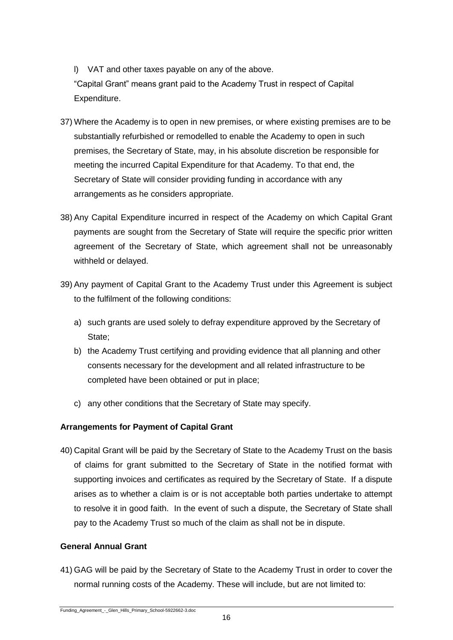l) VAT and other taxes payable on any of the above. "Capital Grant" means grant paid to the Academy Trust in respect of Capital Expenditure.

- 37) Where the Academy is to open in new premises, or where existing premises are to be substantially refurbished or remodelled to enable the Academy to open in such premises, the Secretary of State, may, in his absolute discretion be responsible for meeting the incurred Capital Expenditure for that Academy. To that end, the Secretary of State will consider providing funding in accordance with any arrangements as he considers appropriate.
- 38) Any Capital Expenditure incurred in respect of the Academy on which Capital Grant payments are sought from the Secretary of State will require the specific prior written agreement of the Secretary of State, which agreement shall not be unreasonably withheld or delayed.
- 39) Any payment of Capital Grant to the Academy Trust under this Agreement is subject to the fulfilment of the following conditions:
	- a) such grants are used solely to defray expenditure approved by the Secretary of State;
	- b) the Academy Trust certifying and providing evidence that all planning and other consents necessary for the development and all related infrastructure to be completed have been obtained or put in place;
	- c) any other conditions that the Secretary of State may specify.

## **Arrangements for Payment of Capital Grant**

40) Capital Grant will be paid by the Secretary of State to the Academy Trust on the basis of claims for grant submitted to the Secretary of State in the notified format with supporting invoices and certificates as required by the Secretary of State. If a dispute arises as to whether a claim is or is not acceptable both parties undertake to attempt to resolve it in good faith. In the event of such a dispute, the Secretary of State shall pay to the Academy Trust so much of the claim as shall not be in dispute.

## **General Annual Grant**

41) GAG will be paid by the Secretary of State to the Academy Trust in order to cover the normal running costs of the Academy. These will include, but are not limited to: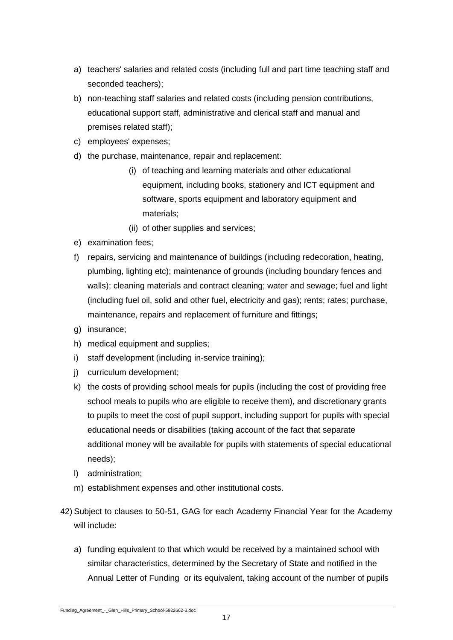- a) teachers' salaries and related costs (including full and part time teaching staff and seconded teachers);
- b) non-teaching staff salaries and related costs (including pension contributions, educational support staff, administrative and clerical staff and manual and premises related staff);
- c) employees' expenses;
- d) the purchase, maintenance, repair and replacement:
	- (i) of teaching and learning materials and other educational equipment, including books, stationery and ICT equipment and software, sports equipment and laboratory equipment and materials;
	- (ii) of other supplies and services;
- e) examination fees;
- f) repairs, servicing and maintenance of buildings (including redecoration, heating, plumbing, lighting etc); maintenance of grounds (including boundary fences and walls); cleaning materials and contract cleaning; water and sewage; fuel and light (including fuel oil, solid and other fuel, electricity and gas); rents; rates; purchase, maintenance, repairs and replacement of furniture and fittings;
- g) insurance;
- h) medical equipment and supplies;
- i) staff development (including in-service training);
- j) curriculum development;
- k) the costs of providing school meals for pupils (including the cost of providing free school meals to pupils who are eligible to receive them), and discretionary grants to pupils to meet the cost of pupil support, including support for pupils with special educational needs or disabilities (taking account of the fact that separate additional money will be available for pupils with statements of special educational needs);
- l) administration;
- m) establishment expenses and other institutional costs.
- 42) Subject to clauses to 50-51, GAG for each Academy Financial Year for the Academy will include:
	- a) funding equivalent to that which would be received by a maintained school with similar characteristics, determined by the Secretary of State and notified in the Annual Letter of Funding or its equivalent, taking account of the number of pupils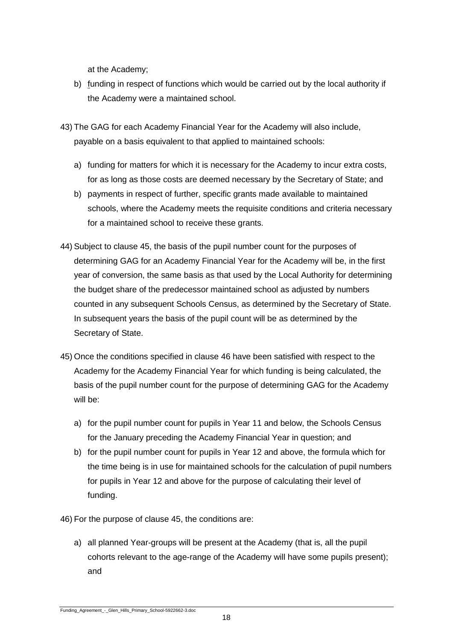at the Academy;

b) funding in respect of functions which would be carried out by the local authority if the Academy were a maintained school.

43) The GAG for each Academy Financial Year for the Academy will also include, payable on a basis equivalent to that applied to maintained schools:

- a) funding for matters for which it is necessary for the Academy to incur extra costs, for as long as those costs are deemed necessary by the Secretary of State; and
- b) payments in respect of further, specific grants made available to maintained schools, where the Academy meets the requisite conditions and criteria necessary for a maintained school to receive these grants.
- 44) Subject to clause 45, the basis of the pupil number count for the purposes of determining GAG for an Academy Financial Year for the Academy will be, in the first year of conversion, the same basis as that used by the Local Authority for determining the budget share of the predecessor maintained school as adjusted by numbers counted in any subsequent Schools Census, as determined by the Secretary of State. In subsequent years the basis of the pupil count will be as determined by the Secretary of State.
- 45) Once the conditions specified in clause 46 have been satisfied with respect to the Academy for the Academy Financial Year for which funding is being calculated, the basis of the pupil number count for the purpose of determining GAG for the Academy will be:
	- a) for the pupil number count for pupils in Year 11 and below, the Schools Census for the January preceding the Academy Financial Year in question; and
	- b) for the pupil number count for pupils in Year 12 and above, the formula which for the time being is in use for maintained schools for the calculation of pupil numbers for pupils in Year 12 and above for the purpose of calculating their level of funding.

46) For the purpose of clause 45, the conditions are:

a) all planned Year-groups will be present at the Academy (that is, all the pupil cohorts relevant to the age-range of the Academy will have some pupils present); and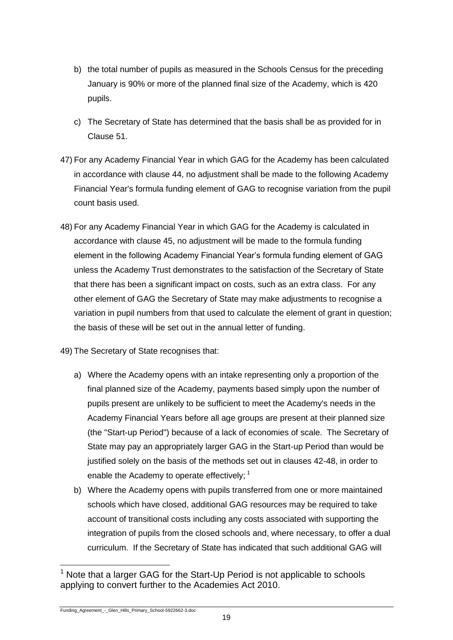- b) the total number of pupils as measured in the Schools Census for the preceding January is 90% or more of the planned final size of the Academy, which is 420 pupils.
- c) The Secretary of State has determined that the basis shall be as provided for in Clause 51.
- 47) For any Academy Financial Year in which GAG for the Academy has been calculated in accordance with clause 44, no adjustment shall be made to the following Academy Financial Year's formula funding element of GAG to recognise variation from the pupil count basis used.
- 48) For any Academy Financial Year in which GAG for the Academy is calculated in accordance with clause 45, no adjustment will be made to the formula funding element in the following Academy Financial Year's formula funding element of GAG unless the Academy Trust demonstrates to the satisfaction of the Secretary of State that there has been a significant impact on costs, such as an extra class. For any other element of GAG the Secretary of State may make adjustments to recognise a variation in pupil numbers from that used to calculate the element of grant in question; the basis of these will be set out in the annual letter of funding.
- 49) The Secretary of State recognises that:
	- a) Where the Academy opens with an intake representing only a proportion of the final planned size of the Academy, payments based simply upon the number of pupils present are unlikely to be sufficient to meet the Academy's needs in the Academy Financial Years before all age groups are present at their planned size (the "Start-up Period") because of a lack of economies of scale. The Secretary of State may pay an appropriately larger GAG in the Start-up Period than would be justified solely on the basis of the methods set out in clauses 42-48, in order to enable the Academy to operate effectively: <sup>1</sup>
	- b) Where the Academy opens with pupils transferred from one or more maintained schools which have closed, additional GAG resources may be required to take account of transitional costs including any costs associated with supporting the integration of pupils from the closed schools and, where necessary, to offer a dual curriculum. If the Secretary of State has indicated that such additional GAG will

l  $1$  Note that a larger GAG for the Start-Up Period is not applicable to schools applying to convert further to the Academies Act 2010.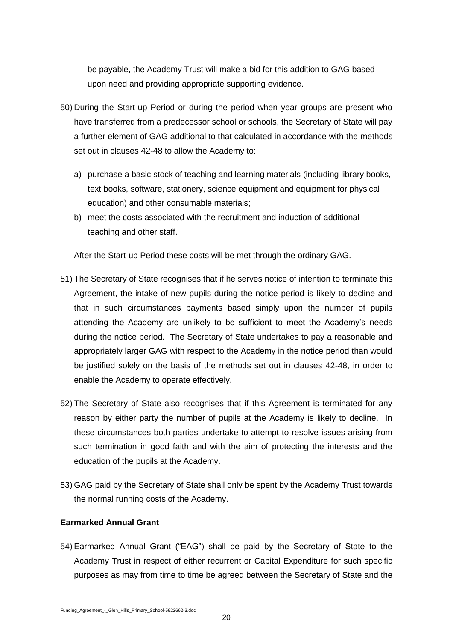be payable, the Academy Trust will make a bid for this addition to GAG based upon need and providing appropriate supporting evidence.

- 50) During the Start-up Period or during the period when year groups are present who have transferred from a predecessor school or schools, the Secretary of State will pay a further element of GAG additional to that calculated in accordance with the methods set out in clauses 42-48 to allow the Academy to:
	- a) purchase a basic stock of teaching and learning materials (including library books, text books, software, stationery, science equipment and equipment for physical education) and other consumable materials;
	- b) meet the costs associated with the recruitment and induction of additional teaching and other staff.

After the Start-up Period these costs will be met through the ordinary GAG.

- 51) The Secretary of State recognises that if he serves notice of intention to terminate this Agreement, the intake of new pupils during the notice period is likely to decline and that in such circumstances payments based simply upon the number of pupils attending the Academy are unlikely to be sufficient to meet the Academy's needs during the notice period. The Secretary of State undertakes to pay a reasonable and appropriately larger GAG with respect to the Academy in the notice period than would be justified solely on the basis of the methods set out in clauses 42-48, in order to enable the Academy to operate effectively.
- 52) The Secretary of State also recognises that if this Agreement is terminated for any reason by either party the number of pupils at the Academy is likely to decline. In these circumstances both parties undertake to attempt to resolve issues arising from such termination in good faith and with the aim of protecting the interests and the education of the pupils at the Academy.
- 53) GAG paid by the Secretary of State shall only be spent by the Academy Trust towards the normal running costs of the Academy.

# **Earmarked Annual Grant**

54) Earmarked Annual Grant ("EAG") shall be paid by the Secretary of State to the Academy Trust in respect of either recurrent or Capital Expenditure for such specific purposes as may from time to time be agreed between the Secretary of State and the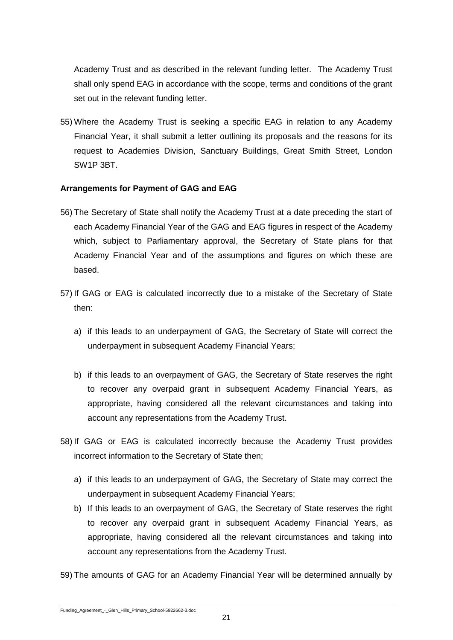Academy Trust and as described in the relevant funding letter. The Academy Trust shall only spend EAG in accordance with the scope, terms and conditions of the grant set out in the relevant funding letter.

55) Where the Academy Trust is seeking a specific EAG in relation to any Academy Financial Year, it shall submit a letter outlining its proposals and the reasons for its request to Academies Division, Sanctuary Buildings, Great Smith Street, London SW1P 3BT.

#### **Arrangements for Payment of GAG and EAG**

- 56) The Secretary of State shall notify the Academy Trust at a date preceding the start of each Academy Financial Year of the GAG and EAG figures in respect of the Academy which, subject to Parliamentary approval, the Secretary of State plans for that Academy Financial Year and of the assumptions and figures on which these are based.
- 57) If GAG or EAG is calculated incorrectly due to a mistake of the Secretary of State then:
	- a) if this leads to an underpayment of GAG, the Secretary of State will correct the underpayment in subsequent Academy Financial Years;
	- b) if this leads to an overpayment of GAG, the Secretary of State reserves the right to recover any overpaid grant in subsequent Academy Financial Years, as appropriate, having considered all the relevant circumstances and taking into account any representations from the Academy Trust.
- 58) If GAG or EAG is calculated incorrectly because the Academy Trust provides incorrect information to the Secretary of State then;
	- a) if this leads to an underpayment of GAG, the Secretary of State may correct the underpayment in subsequent Academy Financial Years;
	- b) If this leads to an overpayment of GAG, the Secretary of State reserves the right to recover any overpaid grant in subsequent Academy Financial Years, as appropriate, having considered all the relevant circumstances and taking into account any representations from the Academy Trust.
- 59) The amounts of GAG for an Academy Financial Year will be determined annually by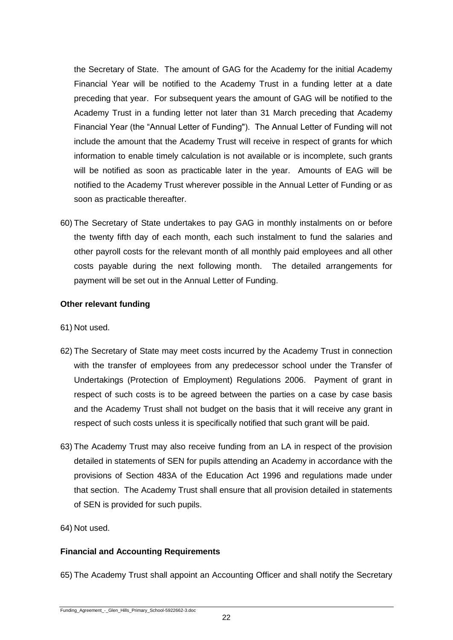the Secretary of State. The amount of GAG for the Academy for the initial Academy Financial Year will be notified to the Academy Trust in a funding letter at a date preceding that year. For subsequent years the amount of GAG will be notified to the Academy Trust in a funding letter not later than 31 March preceding that Academy Financial Year (the "Annual Letter of Funding"). The Annual Letter of Funding will not include the amount that the Academy Trust will receive in respect of grants for which information to enable timely calculation is not available or is incomplete, such grants will be notified as soon as practicable later in the year. Amounts of EAG will be notified to the Academy Trust wherever possible in the Annual Letter of Funding or as soon as practicable thereafter.

60) The Secretary of State undertakes to pay GAG in monthly instalments on or before the twenty fifth day of each month, each such instalment to fund the salaries and other payroll costs for the relevant month of all monthly paid employees and all other costs payable during the next following month. The detailed arrangements for payment will be set out in the Annual Letter of Funding.

## **Other relevant funding**

- 61) Not used.
- 62) The Secretary of State may meet costs incurred by the Academy Trust in connection with the transfer of employees from any predecessor school under the Transfer of Undertakings (Protection of Employment) Regulations 2006. Payment of grant in respect of such costs is to be agreed between the parties on a case by case basis and the Academy Trust shall not budget on the basis that it will receive any grant in respect of such costs unless it is specifically notified that such grant will be paid.
- 63) The Academy Trust may also receive funding from an LA in respect of the provision detailed in statements of SEN for pupils attending an Academy in accordance with the provisions of Section 483A of the Education Act 1996 and regulations made under that section. The Academy Trust shall ensure that all provision detailed in statements of SEN is provided for such pupils.
- 64) Not used.

## **Financial and Accounting Requirements**

65) The Academy Trust shall appoint an Accounting Officer and shall notify the Secretary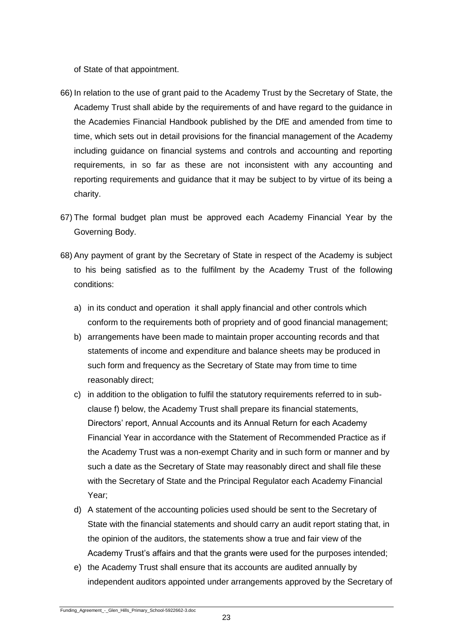of State of that appointment.

- 66) In relation to the use of grant paid to the Academy Trust by the Secretary of State, the Academy Trust shall abide by the requirements of and have regard to the guidance in the Academies Financial Handbook published by the DfE and amended from time to time, which sets out in detail provisions for the financial management of the Academy including guidance on financial systems and controls and accounting and reporting requirements, in so far as these are not inconsistent with any accounting and reporting requirements and guidance that it may be subject to by virtue of its being a charity.
- 67) The formal budget plan must be approved each Academy Financial Year by the Governing Body.
- 68) Any payment of grant by the Secretary of State in respect of the Academy is subject to his being satisfied as to the fulfilment by the Academy Trust of the following conditions:
	- a) in its conduct and operation it shall apply financial and other controls which conform to the requirements both of propriety and of good financial management;
	- b) arrangements have been made to maintain proper accounting records and that statements of income and expenditure and balance sheets may be produced in such form and frequency as the Secretary of State may from time to time reasonably direct;
	- c) in addition to the obligation to fulfil the statutory requirements referred to in subclause f) below, the Academy Trust shall prepare its financial statements, Directors' report, Annual Accounts and its Annual Return for each Academy Financial Year in accordance with the Statement of Recommended Practice as if the Academy Trust was a non-exempt Charity and in such form or manner and by such a date as the Secretary of State may reasonably direct and shall file these with the Secretary of State and the Principal Regulator each Academy Financial Year;
	- d) A statement of the accounting policies used should be sent to the Secretary of State with the financial statements and should carry an audit report stating that, in the opinion of the auditors, the statements show a true and fair view of the Academy Trust's affairs and that the grants were used for the purposes intended;
	- e) the Academy Trust shall ensure that its accounts are audited annually by independent auditors appointed under arrangements approved by the Secretary of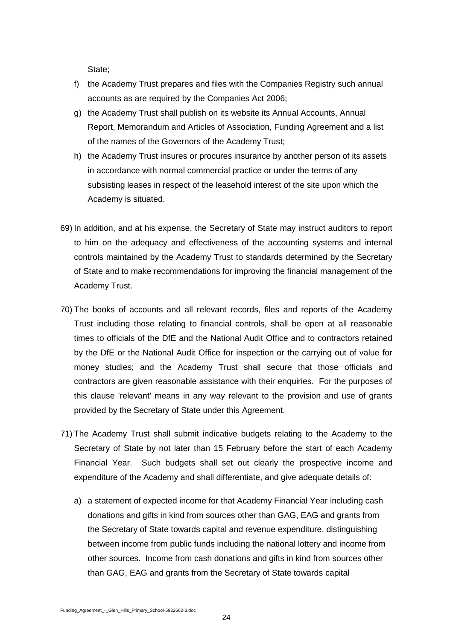State;

- f) the Academy Trust prepares and files with the Companies Registry such annual accounts as are required by the Companies Act 2006;
- g) the Academy Trust shall publish on its website its Annual Accounts, Annual Report, Memorandum and Articles of Association, Funding Agreement and a list of the names of the Governors of the Academy Trust;
- h) the Academy Trust insures or procures insurance by another person of its assets in accordance with normal commercial practice or under the terms of any subsisting leases in respect of the leasehold interest of the site upon which the Academy is situated.
- 69) In addition, and at his expense, the Secretary of State may instruct auditors to report to him on the adequacy and effectiveness of the accounting systems and internal controls maintained by the Academy Trust to standards determined by the Secretary of State and to make recommendations for improving the financial management of the Academy Trust.
- 70) The books of accounts and all relevant records, files and reports of the Academy Trust including those relating to financial controls, shall be open at all reasonable times to officials of the DfE and the National Audit Office and to contractors retained by the DfE or the National Audit Office for inspection or the carrying out of value for money studies; and the Academy Trust shall secure that those officials and contractors are given reasonable assistance with their enquiries. For the purposes of this clause 'relevant' means in any way relevant to the provision and use of grants provided by the Secretary of State under this Agreement.
- 71) The Academy Trust shall submit indicative budgets relating to the Academy to the Secretary of State by not later than 15 February before the start of each Academy Financial Year. Such budgets shall set out clearly the prospective income and expenditure of the Academy and shall differentiate, and give adequate details of:
	- a) a statement of expected income for that Academy Financial Year including cash donations and gifts in kind from sources other than GAG, EAG and grants from the Secretary of State towards capital and revenue expenditure, distinguishing between income from public funds including the national lottery and income from other sources. Income from cash donations and gifts in kind from sources other than GAG, EAG and grants from the Secretary of State towards capital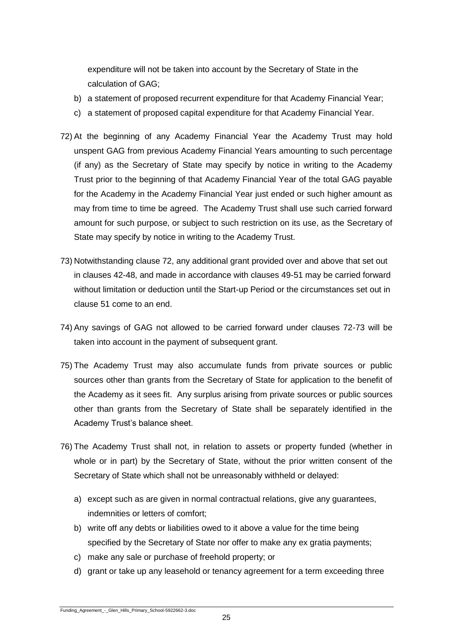expenditure will not be taken into account by the Secretary of State in the calculation of GAG;

- b) a statement of proposed recurrent expenditure for that Academy Financial Year;
- c) a statement of proposed capital expenditure for that Academy Financial Year.
- 72) At the beginning of any Academy Financial Year the Academy Trust may hold unspent GAG from previous Academy Financial Years amounting to such percentage (if any) as the Secretary of State may specify by notice in writing to the Academy Trust prior to the beginning of that Academy Financial Year of the total GAG payable for the Academy in the Academy Financial Year just ended or such higher amount as may from time to time be agreed. The Academy Trust shall use such carried forward amount for such purpose, or subject to such restriction on its use, as the Secretary of State may specify by notice in writing to the Academy Trust.
- 73) Notwithstanding clause 72, any additional grant provided over and above that set out in clauses 42-48, and made in accordance with clauses 49-51 may be carried forward without limitation or deduction until the Start-up Period or the circumstances set out in clause 51 come to an end.
- 74) Any savings of GAG not allowed to be carried forward under clauses 72-73 will be taken into account in the payment of subsequent grant.
- 75) The Academy Trust may also accumulate funds from private sources or public sources other than grants from the Secretary of State for application to the benefit of the Academy as it sees fit. Any surplus arising from private sources or public sources other than grants from the Secretary of State shall be separately identified in the Academy Trust's balance sheet.
- 76) The Academy Trust shall not, in relation to assets or property funded (whether in whole or in part) by the Secretary of State, without the prior written consent of the Secretary of State which shall not be unreasonably withheld or delayed:
	- a) except such as are given in normal contractual relations, give any guarantees, indemnities or letters of comfort;
	- b) write off any debts or liabilities owed to it above a value for the time being specified by the Secretary of State nor offer to make any ex gratia payments;
	- c) make any sale or purchase of freehold property; or
	- d) grant or take up any leasehold or tenancy agreement for a term exceeding three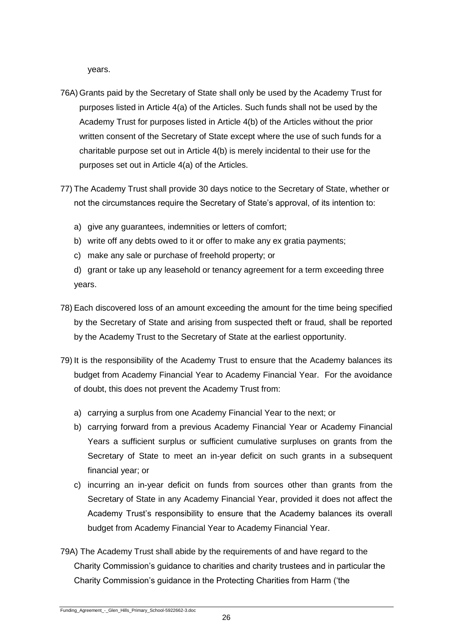years.

- 76A)Grants paid by the Secretary of State shall only be used by the Academy Trust for purposes listed in Article 4(a) of the Articles. Such funds shall not be used by the Academy Trust for purposes listed in Article 4(b) of the Articles without the prior written consent of the Secretary of State except where the use of such funds for a charitable purpose set out in Article 4(b) is merely incidental to their use for the purposes set out in Article 4(a) of the Articles.
- 77) The Academy Trust shall provide 30 days notice to the Secretary of State, whether or not the circumstances require the Secretary of State's approval, of its intention to:
	- a) give any guarantees, indemnities or letters of comfort;
	- b) write off any debts owed to it or offer to make any ex gratia payments;
	- c) make any sale or purchase of freehold property; or
	- d) grant or take up any leasehold or tenancy agreement for a term exceeding three years.
- 78) Each discovered loss of an amount exceeding the amount for the time being specified by the Secretary of State and arising from suspected theft or fraud, shall be reported by the Academy Trust to the Secretary of State at the earliest opportunity.
- 79) It is the responsibility of the Academy Trust to ensure that the Academy balances its budget from Academy Financial Year to Academy Financial Year. For the avoidance of doubt, this does not prevent the Academy Trust from:
	- a) carrying a surplus from one Academy Financial Year to the next; or
	- b) carrying forward from a previous Academy Financial Year or Academy Financial Years a sufficient surplus or sufficient cumulative surpluses on grants from the Secretary of State to meet an in-year deficit on such grants in a subsequent financial year; or
	- c) incurring an in-year deficit on funds from sources other than grants from the Secretary of State in any Academy Financial Year, provided it does not affect the Academy Trust's responsibility to ensure that the Academy balances its overall budget from Academy Financial Year to Academy Financial Year.
- 79A) The Academy Trust shall abide by the requirements of and have regard to the Charity Commission's guidance to charities and charity trustees and in particular the Charity Commission's guidance in the Protecting Charities from Harm ('the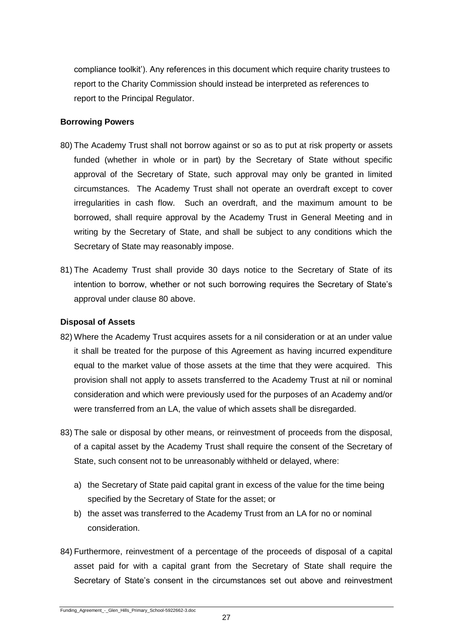compliance toolkit'). Any references in this document which require charity trustees to report to the Charity Commission should instead be interpreted as references to report to the Principal Regulator.

#### **Borrowing Powers**

- 80) The Academy Trust shall not borrow against or so as to put at risk property or assets funded (whether in whole or in part) by the Secretary of State without specific approval of the Secretary of State, such approval may only be granted in limited circumstances. The Academy Trust shall not operate an overdraft except to cover irregularities in cash flow. Such an overdraft, and the maximum amount to be borrowed, shall require approval by the Academy Trust in General Meeting and in writing by the Secretary of State, and shall be subject to any conditions which the Secretary of State may reasonably impose.
- 81) The Academy Trust shall provide 30 days notice to the Secretary of State of its intention to borrow, whether or not such borrowing requires the Secretary of State's approval under clause 80 above.

#### **Disposal of Assets**

- 82) Where the Academy Trust acquires assets for a nil consideration or at an under value it shall be treated for the purpose of this Agreement as having incurred expenditure equal to the market value of those assets at the time that they were acquired. This provision shall not apply to assets transferred to the Academy Trust at nil or nominal consideration and which were previously used for the purposes of an Academy and/or were transferred from an LA, the value of which assets shall be disregarded.
- 83) The sale or disposal by other means, or reinvestment of proceeds from the disposal, of a capital asset by the Academy Trust shall require the consent of the Secretary of State, such consent not to be unreasonably withheld or delayed, where:
	- a) the Secretary of State paid capital grant in excess of the value for the time being specified by the Secretary of State for the asset; or
	- b) the asset was transferred to the Academy Trust from an LA for no or nominal consideration.
- 84) Furthermore, reinvestment of a percentage of the proceeds of disposal of a capital asset paid for with a capital grant from the Secretary of State shall require the Secretary of State's consent in the circumstances set out above and reinvestment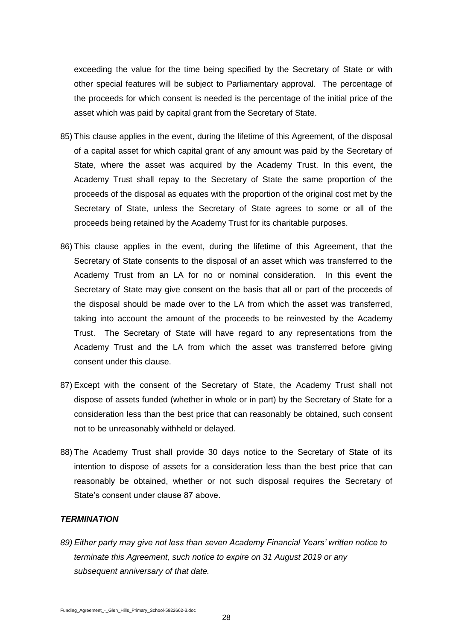exceeding the value for the time being specified by the Secretary of State or with other special features will be subject to Parliamentary approval. The percentage of the proceeds for which consent is needed is the percentage of the initial price of the asset which was paid by capital grant from the Secretary of State.

- 85) This clause applies in the event, during the lifetime of this Agreement, of the disposal of a capital asset for which capital grant of any amount was paid by the Secretary of State, where the asset was acquired by the Academy Trust. In this event, the Academy Trust shall repay to the Secretary of State the same proportion of the proceeds of the disposal as equates with the proportion of the original cost met by the Secretary of State, unless the Secretary of State agrees to some or all of the proceeds being retained by the Academy Trust for its charitable purposes.
- 86) This clause applies in the event, during the lifetime of this Agreement, that the Secretary of State consents to the disposal of an asset which was transferred to the Academy Trust from an LA for no or nominal consideration. In this event the Secretary of State may give consent on the basis that all or part of the proceeds of the disposal should be made over to the LA from which the asset was transferred, taking into account the amount of the proceeds to be reinvested by the Academy Trust. The Secretary of State will have regard to any representations from the Academy Trust and the LA from which the asset was transferred before giving consent under this clause.
- 87) Except with the consent of the Secretary of State, the Academy Trust shall not dispose of assets funded (whether in whole or in part) by the Secretary of State for a consideration less than the best price that can reasonably be obtained, such consent not to be unreasonably withheld or delayed.
- 88) The Academy Trust shall provide 30 days notice to the Secretary of State of its intention to dispose of assets for a consideration less than the best price that can reasonably be obtained, whether or not such disposal requires the Secretary of State's consent under clause 87 above.

#### *TERMINATION*

*89) Either party may give not less than seven Academy Financial Years' written notice to terminate this Agreement, such notice to expire on 31 August 2019 or any subsequent anniversary of that date.*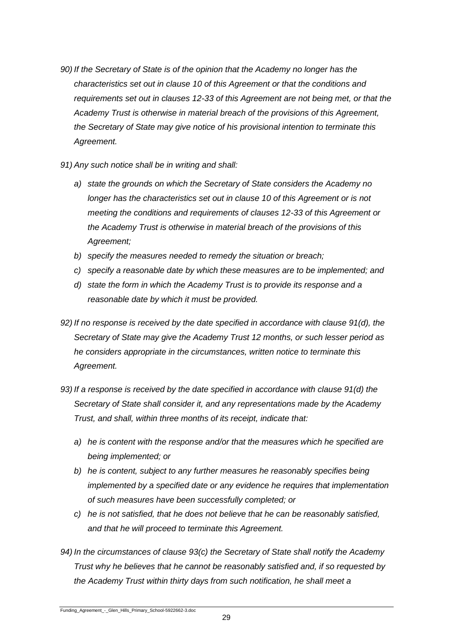- *90) If the Secretary of State is of the opinion that the Academy no longer has the characteristics set out in clause 10 of this Agreement or that the conditions and requirements set out in clauses 12-33 of this Agreement are not being met, or that the Academy Trust is otherwise in material breach of the provisions of this Agreement, the Secretary of State may give notice of his provisional intention to terminate this Agreement.*
- *91) Any such notice shall be in writing and shall:*
	- *a) state the grounds on which the Secretary of State considers the Academy no longer has the characteristics set out in clause 10 of this Agreement or is not meeting the conditions and requirements of clauses 12-33 of this Agreement or the Academy Trust is otherwise in material breach of the provisions of this Agreement;*
	- *b) specify the measures needed to remedy the situation or breach;*
	- *c) specify a reasonable date by which these measures are to be implemented; and*
	- *d) state the form in which the Academy Trust is to provide its response and a reasonable date by which it must be provided.*
- *92) If no response is received by the date specified in accordance with clause 91(d), the Secretary of State may give the Academy Trust 12 months, or such lesser period as he considers appropriate in the circumstances, written notice to terminate this Agreement.*
- *93) If a response is received by the date specified in accordance with clause 91(d) the Secretary of State shall consider it, and any representations made by the Academy Trust, and shall, within three months of its receipt, indicate that:*
	- *a) he is content with the response and/or that the measures which he specified are being implemented; or*
	- *b) he is content, subject to any further measures he reasonably specifies being implemented by a specified date or any evidence he requires that implementation of such measures have been successfully completed; or*
	- *c) he is not satisfied, that he does not believe that he can be reasonably satisfied, and that he will proceed to terminate this Agreement.*
- *94) In the circumstances of clause 93(c) the Secretary of State shall notify the Academy Trust why he believes that he cannot be reasonably satisfied and, if so requested by the Academy Trust within thirty days from such notification, he shall meet a*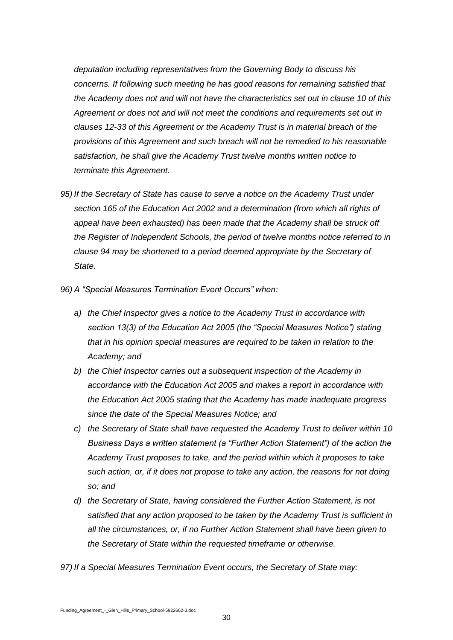*deputation including representatives from the Governing Body to discuss his concerns. If following such meeting he has good reasons for remaining satisfied that the Academy does not and will not have the characteristics set out in clause 10 of this Agreement or does not and will not meet the conditions and requirements set out in clauses 12-33 of this Agreement or the Academy Trust is in material breach of the provisions of this Agreement and such breach will not be remedied to his reasonable satisfaction, he shall give the Academy Trust twelve months written notice to terminate this Agreement.*

- *95) If the Secretary of State has cause to serve a notice on the Academy Trust under section 165 of the Education Act 2002 and a determination (from which all rights of appeal have been exhausted) has been made that the Academy shall be struck off the Register of Independent Schools, the period of twelve months notice referred to in clause 94 may be shortened to a period deemed appropriate by the Secretary of State.*
- *96) A "Special Measures Termination Event Occurs" when:*
	- *a) the Chief Inspector gives a notice to the Academy Trust in accordance with section 13(3) of the Education Act 2005 (the "Special Measures Notice") stating that in his opinion special measures are required to be taken in relation to the Academy; and*
	- *b) the Chief Inspector carries out a subsequent inspection of the Academy in accordance with the Education Act 2005 and makes a report in accordance with the Education Act 2005 stating that the Academy has made inadequate progress since the date of the Special Measures Notice; and*
	- *c) the Secretary of State shall have requested the Academy Trust to deliver within 10 Business Days a written statement (a "Further Action Statement") of the action the Academy Trust proposes to take, and the period within which it proposes to take such action, or, if it does not propose to take any action, the reasons for not doing so; and*
	- *d) the Secretary of State, having considered the Further Action Statement, is not satisfied that any action proposed to be taken by the Academy Trust is sufficient in all the circumstances, or, if no Further Action Statement shall have been given to the Secretary of State within the requested timeframe or otherwise.*
- *97) If a Special Measures Termination Event occurs, the Secretary of State may:*

Funding\_Agreement\_-\_Glen\_Hills\_Primary\_School-5922662-3.doc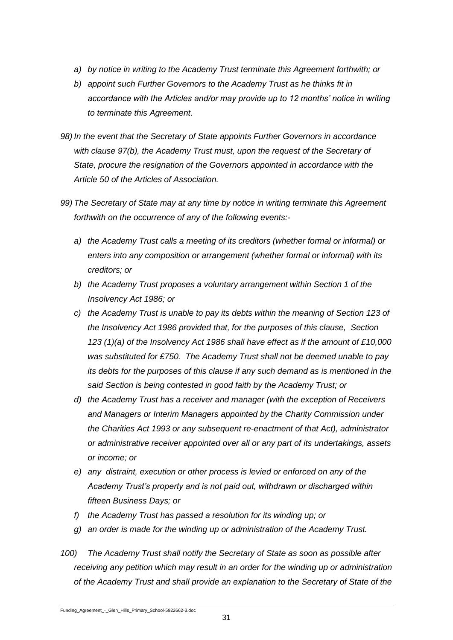- *a) by notice in writing to the Academy Trust terminate this Agreement forthwith; or*
- *b) appoint such Further Governors to the Academy Trust as he thinks fit in accordance with the Articles and/or may provide up to 12 months' notice in writing to terminate this Agreement.*
- *98) In the event that the Secretary of State appoints Further Governors in accordance with clause 97(b), the Academy Trust must, upon the request of the Secretary of State, procure the resignation of the Governors appointed in accordance with the Article 50 of the Articles of Association.*
- *99) The Secretary of State may at any time by notice in writing terminate this Agreement forthwith on the occurrence of any of the following events:*
	- *a) the Academy Trust calls a meeting of its creditors (whether formal or informal) or enters into any composition or arrangement (whether formal or informal) with its creditors; or*
	- *b) the Academy Trust proposes a voluntary arrangement within Section 1 of the Insolvency Act 1986; or*
	- *c) the Academy Trust is unable to pay its debts within the meaning of Section 123 of the Insolvency Act 1986 provided that, for the purposes of this clause, Section 123 (1)(a) of the Insolvency Act 1986 shall have effect as if the amount of £10,000 was substituted for £750. The Academy Trust shall not be deemed unable to pay its debts for the purposes of this clause if any such demand as is mentioned in the said Section is being contested in good faith by the Academy Trust; or*
	- *d) the Academy Trust has a receiver and manager (with the exception of Receivers and Managers or Interim Managers appointed by the Charity Commission under the Charities Act 1993 or any subsequent re-enactment of that Act), administrator or administrative receiver appointed over all or any part of its undertakings, assets or income; or*
	- *e) any distraint, execution or other process is levied or enforced on any of the Academy Trust's property and is not paid out, withdrawn or discharged within fifteen Business Days; or*
	- *f) the Academy Trust has passed a resolution for its winding up; or*
	- *g) an order is made for the winding up or administration of the Academy Trust.*
- *100) The Academy Trust shall notify the Secretary of State as soon as possible after receiving any petition which may result in an order for the winding up or administration of the Academy Trust and shall provide an explanation to the Secretary of State of the*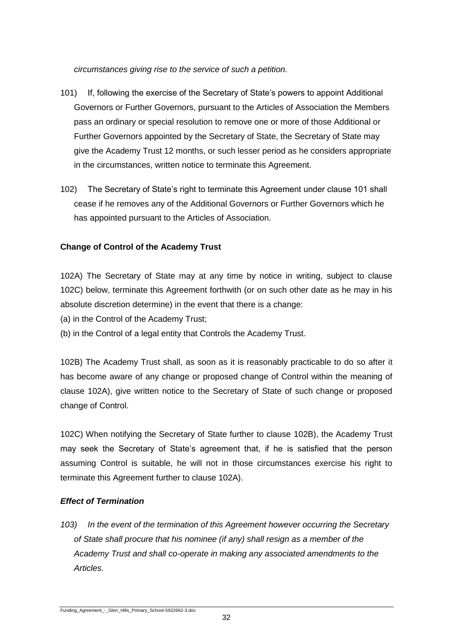*circumstances giving rise to the service of such a petition.*

- 101) If, following the exercise of the Secretary of State's powers to appoint Additional Governors or Further Governors, pursuant to the Articles of Association the Members pass an ordinary or special resolution to remove one or more of those Additional or Further Governors appointed by the Secretary of State, the Secretary of State may give the Academy Trust 12 months, or such lesser period as he considers appropriate in the circumstances, written notice to terminate this Agreement.
- 102) The Secretary of State's right to terminate this Agreement under clause 101 shall cease if he removes any of the Additional Governors or Further Governors which he has appointed pursuant to the Articles of Association.

# **Change of Control of the Academy Trust**

102A) The Secretary of State may at any time by notice in writing, subject to clause 102C) below, terminate this Agreement forthwith (or on such other date as he may in his absolute discretion determine) in the event that there is a change:

(a) in the Control of the Academy Trust;

(b) in the Control of a legal entity that Controls the Academy Trust.

102B) The Academy Trust shall, as soon as it is reasonably practicable to do so after it has become aware of any change or proposed change of Control within the meaning of clause 102A), give written notice to the Secretary of State of such change or proposed change of Control.

102C) When notifying the Secretary of State further to clause 102B), the Academy Trust may seek the Secretary of State's agreement that, if he is satisfied that the person assuming Control is suitable, he will not in those circumstances exercise his right to terminate this Agreement further to clause 102A).

## *Effect of Termination*

*103) In the event of the termination of this Agreement however occurring the Secretary of State shall procure that his nominee (if any) shall resign as a member of the Academy Trust and shall co-operate in making any associated amendments to the Articles.*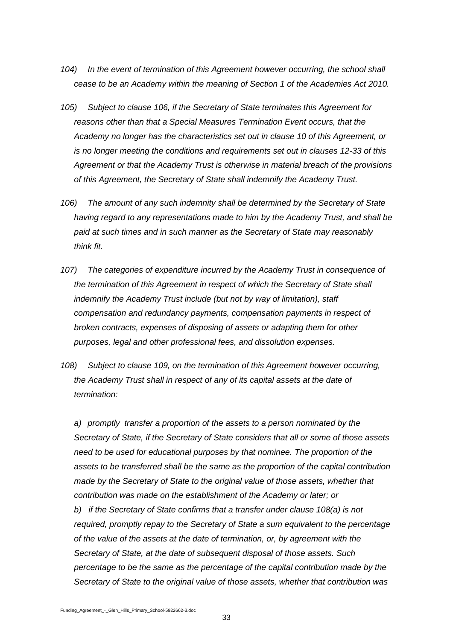- *104) In the event of termination of this Agreement however occurring, the school shall cease to be an Academy within the meaning of Section 1 of the Academies Act 2010.*
- *105) Subject to clause 106, if the Secretary of State terminates this Agreement for reasons other than that a Special Measures Termination Event occurs, that the Academy no longer has the characteristics set out in clause 10 of this Agreement, or is no longer meeting the conditions and requirements set out in clauses 12-33 of this Agreement or that the Academy Trust is otherwise in material breach of the provisions of this Agreement, the Secretary of State shall indemnify the Academy Trust.*
- *106) The amount of any such indemnity shall be determined by the Secretary of State having regard to any representations made to him by the Academy Trust, and shall be paid at such times and in such manner as the Secretary of State may reasonably think fit.*
- *107) The categories of expenditure incurred by the Academy Trust in consequence of the termination of this Agreement in respect of which the Secretary of State shall indemnify the Academy Trust include (but not by way of limitation), staff compensation and redundancy payments, compensation payments in respect of broken contracts, expenses of disposing of assets or adapting them for other purposes, legal and other professional fees, and dissolution expenses.*
- *108) Subject to clause 109, on the termination of this Agreement however occurring, the Academy Trust shall in respect of any of its capital assets at the date of termination:*

*a) promptly transfer a proportion of the assets to a person nominated by the Secretary of State, if the Secretary of State considers that all or some of those assets need to be used for educational purposes by that nominee. The proportion of the assets to be transferred shall be the same as the proportion of the capital contribution made by the Secretary of State to the original value of those assets, whether that contribution was made on the establishment of the Academy or later; or b) if the Secretary of State confirms that a transfer under clause 108(a) is not required, promptly repay to the Secretary of State a sum equivalent to the percentage of the value of the assets at the date of termination, or, by agreement with the Secretary of State, at the date of subsequent disposal of those assets. Such percentage to be the same as the percentage of the capital contribution made by the Secretary of State to the original value of those assets, whether that contribution was*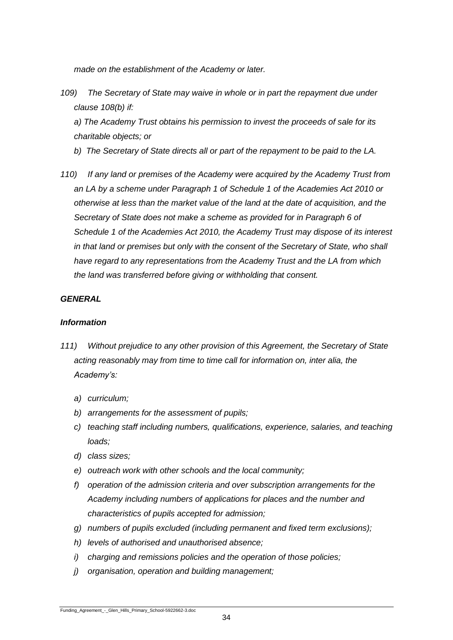*made on the establishment of the Academy or later.*

*109) The Secretary of State may waive in whole or in part the repayment due under clause 108(b) if:*

*a) The Academy Trust obtains his permission to invest the proceeds of sale for its charitable objects; or*

- *b) The Secretary of State directs all or part of the repayment to be paid to the LA.*
- *110) If any land or premises of the Academy were acquired by the Academy Trust from an LA by a scheme under Paragraph 1 of Schedule 1 of the Academies Act 2010 or otherwise at less than the market value of the land at the date of acquisition, and the Secretary of State does not make a scheme as provided for in Paragraph 6 of Schedule 1 of the Academies Act 2010, the Academy Trust may dispose of its interest in that land or premises but only with the consent of the Secretary of State, who shall have regard to any representations from the Academy Trust and the LA from which the land was transferred before giving or withholding that consent.*

#### *GENERAL*

#### *Information*

- *111) Without prejudice to any other provision of this Agreement, the Secretary of State acting reasonably may from time to time call for information on, inter alia, the Academy's:*
	- *a) curriculum;*
	- *b) arrangements for the assessment of pupils;*
	- *c) teaching staff including numbers, qualifications, experience, salaries, and teaching loads;*
	- *d) class sizes;*
	- *e) outreach work with other schools and the local community;*
	- *f) operation of the admission criteria and over subscription arrangements for the Academy including numbers of applications for places and the number and characteristics of pupils accepted for admission;*
	- *g) numbers of pupils excluded (including permanent and fixed term exclusions);*
	- *h) levels of authorised and unauthorised absence;*
	- *i) charging and remissions policies and the operation of those policies;*
	- *j) organisation, operation and building management;*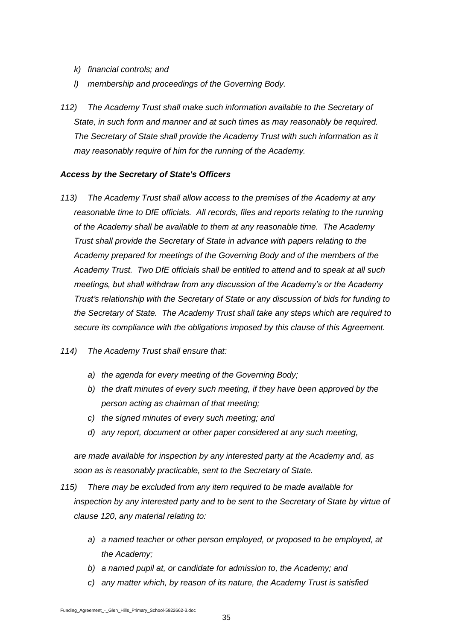- *k) financial controls; and*
- *l) membership and proceedings of the Governing Body.*
- *112) The Academy Trust shall make such information available to the Secretary of State, in such form and manner and at such times as may reasonably be required. The Secretary of State shall provide the Academy Trust with such information as it may reasonably require of him for the running of the Academy.*

#### *Access by the Secretary of State's Officers*

- *113) The Academy Trust shall allow access to the premises of the Academy at any reasonable time to DfE officials. All records, files and reports relating to the running of the Academy shall be available to them at any reasonable time. The Academy Trust shall provide the Secretary of State in advance with papers relating to the Academy prepared for meetings of the Governing Body and of the members of the Academy Trust. Two DfE officials shall be entitled to attend and to speak at all such meetings, but shall withdraw from any discussion of the Academy's or the Academy Trust's relationship with the Secretary of State or any discussion of bids for funding to the Secretary of State. The Academy Trust shall take any steps which are required to secure its compliance with the obligations imposed by this clause of this Agreement.*
- *114) The Academy Trust shall ensure that:*
	- *a) the agenda for every meeting of the Governing Body;*
	- *b) the draft minutes of every such meeting, if they have been approved by the person acting as chairman of that meeting;*
	- *c) the signed minutes of every such meeting; and*
	- *d) any report, document or other paper considered at any such meeting,*

*are made available for inspection by any interested party at the Academy and, as soon as is reasonably practicable, sent to the Secretary of State.*

- *115) There may be excluded from any item required to be made available for inspection by any interested party and to be sent to the Secretary of State by virtue of clause 120, any material relating to:*
	- *a) a named teacher or other person employed, or proposed to be employed, at the Academy;*
	- *b) a named pupil at, or candidate for admission to, the Academy; and*
	- *c) any matter which, by reason of its nature, the Academy Trust is satisfied*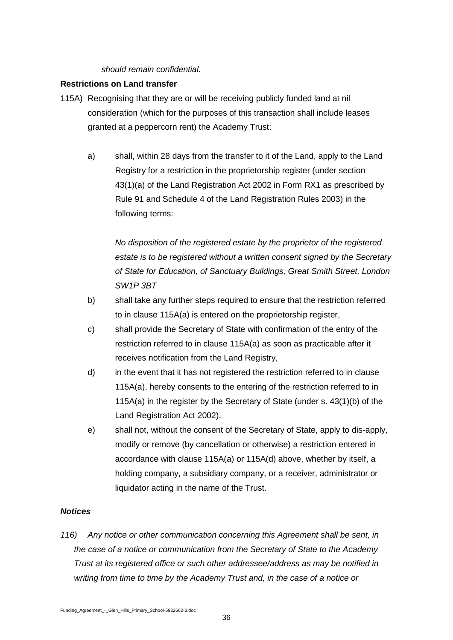#### *should remain confidential.*

## **Restrictions on Land transfer**

- 115A) Recognising that they are or will be receiving publicly funded land at nil consideration (which for the purposes of this transaction shall include leases granted at a peppercorn rent) the Academy Trust:
	- a) shall, within 28 days from the transfer to it of the Land, apply to the Land Registry for a restriction in the proprietorship register (under section 43(1)(a) of the Land Registration Act 2002 in Form RX1 as prescribed by Rule 91 and Schedule 4 of the Land Registration Rules 2003) in the following terms:

*No disposition of the registered estate by the proprietor of the registered estate is to be registered without a written consent signed by the Secretary of State for Education, of Sanctuary Buildings, Great Smith Street, London SW1P 3BT*

- b) shall take any further steps required to ensure that the restriction referred to in clause 115A(a) is entered on the proprietorship register,
- c) shall provide the Secretary of State with confirmation of the entry of the restriction referred to in clause 115A(a) as soon as practicable after it receives notification from the Land Registry,
- d) in the event that it has not registered the restriction referred to in clause 115A(a), hereby consents to the entering of the restriction referred to in 115A(a) in the register by the Secretary of State (under s. 43(1)(b) of the Land Registration Act 2002),
- e) shall not, without the consent of the Secretary of State, apply to dis-apply, modify or remove (by cancellation or otherwise) a restriction entered in accordance with clause 115A(a) or 115A(d) above, whether by itself, a holding company, a subsidiary company, or a receiver, administrator or liquidator acting in the name of the Trust.

## *Notices*

*116) Any notice or other communication concerning this Agreement shall be sent, in the case of a notice or communication from the Secretary of State to the Academy Trust at its registered office or such other addressee/address as may be notified in writing from time to time by the Academy Trust and, in the case of a notice or*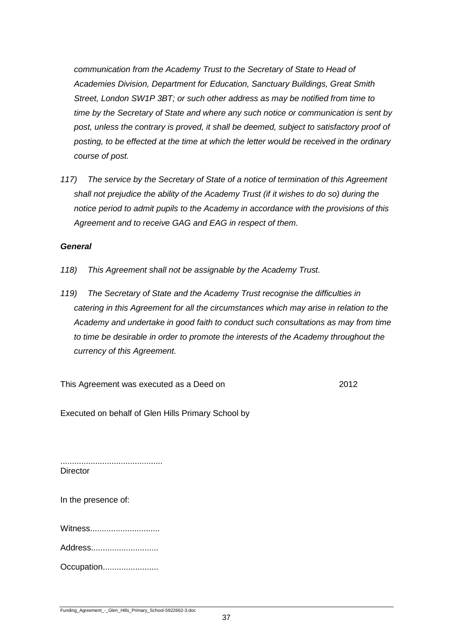*communication from the Academy Trust to the Secretary of State to Head of Academies Division, Department for Education, Sanctuary Buildings, Great Smith Street, London SW1P 3BT; or such other address as may be notified from time to time by the Secretary of State and where any such notice or communication is sent by post, unless the contrary is proved, it shall be deemed, subject to satisfactory proof of posting, to be effected at the time at which the letter would be received in the ordinary course of post.*

*117) The service by the Secretary of State of a notice of termination of this Agreement shall not prejudice the ability of the Academy Trust (if it wishes to do so) during the notice period to admit pupils to the Academy in accordance with the provisions of this Agreement and to receive GAG and EAG in respect of them.*

#### *General*

- *118) This Agreement shall not be assignable by the Academy Trust.*
- *119) The Secretary of State and the Academy Trust recognise the difficulties in catering in this Agreement for all the circumstances which may arise in relation to the Academy and undertake in good faith to conduct such consultations as may from time to time be desirable in order to promote the interests of the Academy throughout the currency of this Agreement.*

This Agreement was executed as a Deed on 2012

Executed on behalf of Glen Hills Primary School by

............................................ **Director** 

In the presence of:

Witness..............................

Address.............................

Occupation........................

Funding\_Agreement\_-\_Glen\_Hills\_Primary\_School-5922662-3.doc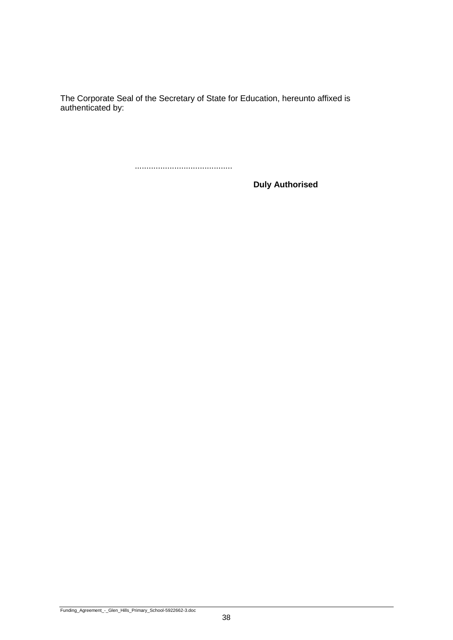The Corporate Seal of the Secretary of State for Education, hereunto affixed is authenticated by:

..........................................

**Duly Authorised**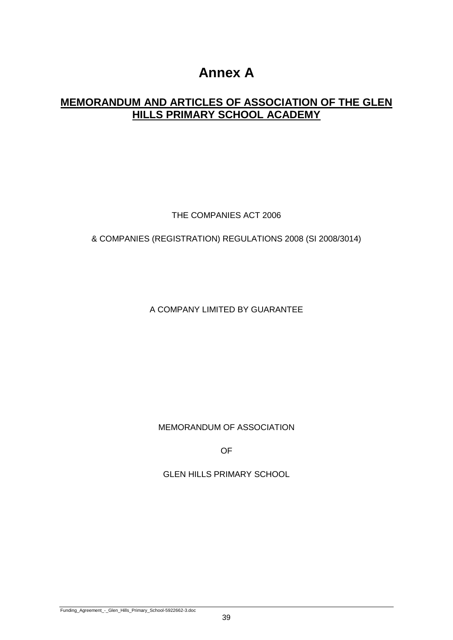# **Annex A**

# **MEMORANDUM AND ARTICLES OF ASSOCIATION OF THE GLEN HILLS PRIMARY SCHOOL ACADEMY**

THE COMPANIES ACT 2006

# & COMPANIES (REGISTRATION) REGULATIONS 2008 (SI 2008/3014)

A COMPANY LIMITED BY GUARANTEE

MEMORANDUM OF ASSOCIATION

OF

GLEN HILLS PRIMARY SCHOOL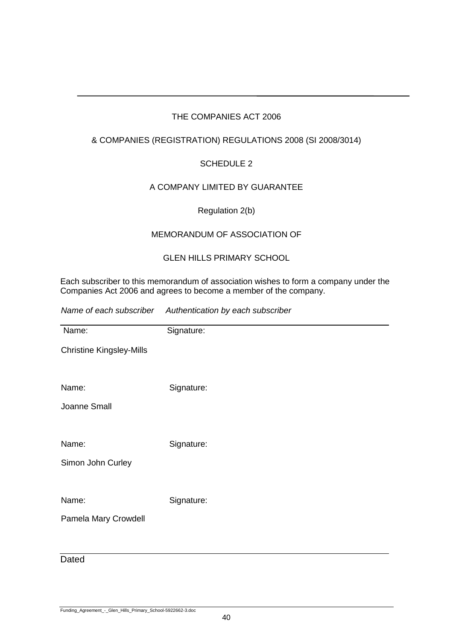# THE COMPANIES ACT 2006

# & COMPANIES (REGISTRATION) REGULATIONS 2008 (SI 2008/3014)

# SCHEDULE 2

# A COMPANY LIMITED BY GUARANTEE

# Regulation 2(b)

# MEMORANDUM OF ASSOCIATION OF

# GLEN HILLS PRIMARY SCHOOL

Each subscriber to this memorandum of association wishes to form a company under the [Companies Act 2006](http://w3.lexis.com/uk/legal/search/runRemoteLink.do?service=citation&langcountry=GB&risb=21_T7301337871&A=0.9967462013224926&linkInfo=F%23GB%23UK_ACTS%23num%252006_46a_Title%25&bct=A) and agrees to become a member of the company.

*Name of each subscriber Authentication by each subscriber*

| Name:                           | Signature: |
|---------------------------------|------------|
| <b>Christine Kingsley-Mills</b> |            |
|                                 |            |
| Name:                           | Signature: |
| Joanne Small                    |            |
|                                 |            |
| Name:                           | Signature: |
| Simon John Curley               |            |
|                                 |            |
| Name:                           | Signature: |
| Pamela Mary Crowdell            |            |
|                                 |            |

# **Dated**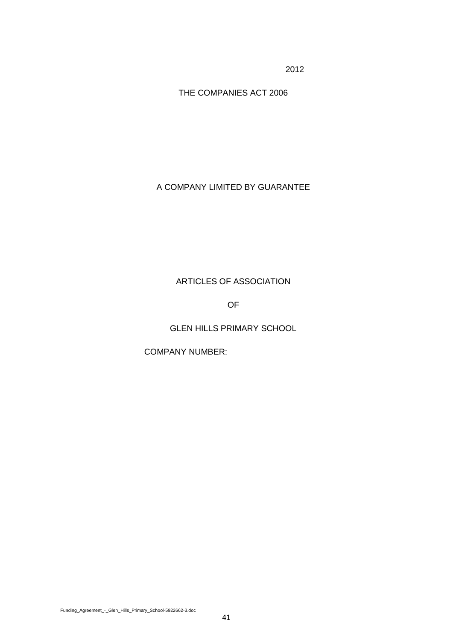2012

THE COMPANIES ACT 2006

A COMPANY LIMITED BY GUARANTEE

ARTICLES OF ASSOCIATION

OF

GLEN HILLS PRIMARY SCHOOL

COMPANY NUMBER: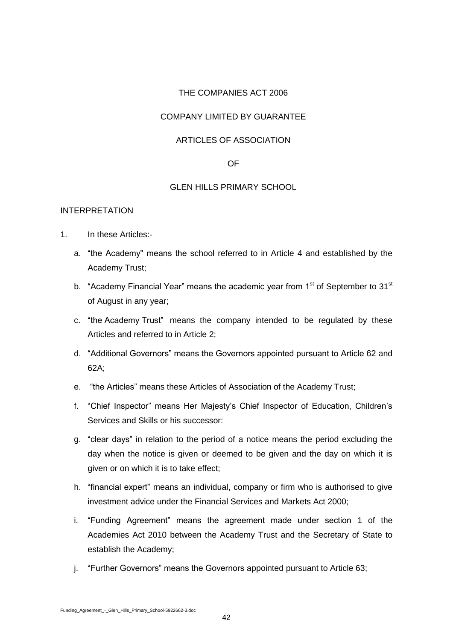# THE COMPANIES ACT 2006

# COMPANY LIMITED BY GUARANTEE

#### ARTICLES OF ASSOCIATION

#### OF

#### GLEN HILLS PRIMARY SCHOOL

#### INTERPRETATION

- 1. In these Articles:
	- a. "the Academy" means the school referred to in Article 4 and established by the Academy Trust;
	- b. "Academy Financial Year" means the academic year from  $1<sup>st</sup>$  of September to  $31<sup>st</sup>$ of August in any year;
	- c. "the Academy Trust" means the company intended to be regulated by these Articles and referred to in Article 2;
	- d. "Additional Governors" means the Governors appointed pursuant to Article 62 and 62A;
	- e. "the Articles" means these Articles of Association of the Academy Trust;
	- f. "Chief Inspector" means Her Majesty's Chief Inspector of Education, Children's Services and Skills or his successor:
	- g. "clear days" in relation to the period of a notice means the period excluding the day when the notice is given or deemed to be given and the day on which it is given or on which it is to take effect;
	- h. "financial expert" means an individual, company or firm who is authorised to give investment advice under the Financial Services and Markets Act 2000;
	- i. "Funding Agreement" means the agreement made under section 1 of the Academies Act 2010 between the Academy Trust and the Secretary of State to establish the Academy;
	- j. "Further Governors" means the Governors appointed pursuant to Article 63;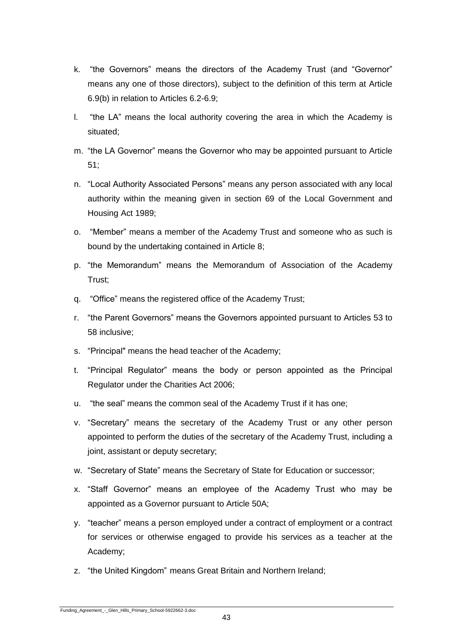- k. "the Governors" means the directors of the Academy Trust (and "Governor" means any one of those directors), subject to the definition of this term at Article 6.9(b) in relation to Articles 6.2-6.9;
- l. "the LA" means the local authority covering the area in which the Academy is situated;
- m. "the LA Governor" means the Governor who may be appointed pursuant to Article 51;
- n. "Local Authority Associated Persons" means any person associated with any local authority within the meaning given in section 69 of the Local Government and Housing Act 1989;
- o. "Member" means a member of the Academy Trust and someone who as such is bound by the undertaking contained in Article 8;
- p. "the Memorandum" means the Memorandum of Association of the Academy Trust;
- q. "Office" means the registered office of the Academy Trust;
- r. "the Parent Governors" means the Governors appointed pursuant to Articles 53 to 58 inclusive;
- s. "Principal" means the head teacher of the Academy;
- t. "Principal Regulator" means the body or person appointed as the Principal Regulator under the Charities Act 2006;
- u. "the seal" means the common seal of the Academy Trust if it has one;
- v. "Secretary" means the secretary of the Academy Trust or any other person appointed to perform the duties of the secretary of the Academy Trust, including a joint, assistant or deputy secretary;
- w. "Secretary of State" means the Secretary of State for Education or successor;
- x. "Staff Governor" means an employee of the Academy Trust who may be appointed as a Governor pursuant to Article 50A;
- y. "teacher" means a person employed under a contract of employment or a contract for services or otherwise engaged to provide his services as a teacher at the Academy;
- z. "the United Kingdom" means Great Britain and Northern Ireland;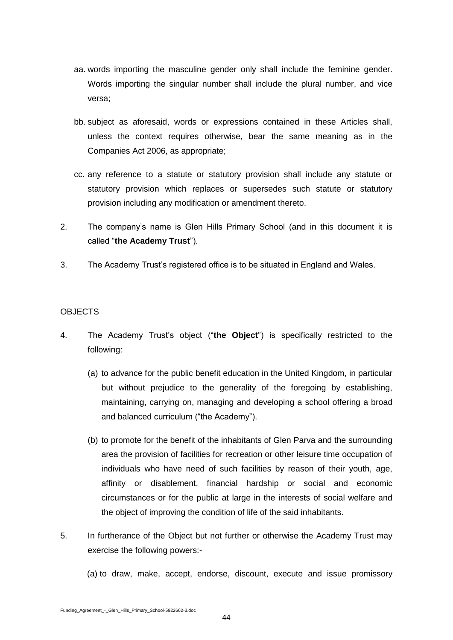- aa. words importing the masculine gender only shall include the feminine gender. Words importing the singular number shall include the plural number, and vice versa;
- bb. subject as aforesaid, words or expressions contained in these Articles shall, unless the context requires otherwise, bear the same meaning as in the Companies Act 2006, as appropriate;
- cc. any reference to a statute or statutory provision shall include any statute or statutory provision which replaces or supersedes such statute or statutory provision including any modification or amendment thereto.
- 2. The company's name is Glen Hills Primary School (and in this document it is called "**the Academy Trust**").
- 3. The Academy Trust's registered office is to be situated in England and Wales.

# **OBJECTS**

- 4. The Academy Trust's object ("**the Object**") is specifically restricted to the following:
	- (a) to advance for the public benefit education in the United Kingdom, in particular but without prejudice to the generality of the foregoing by establishing, maintaining, carrying on, managing and developing a school offering a broad and balanced curriculum ("the Academy").
	- (b) to promote for the benefit of the inhabitants of Glen Parva and the surrounding area the provision of facilities for recreation or other leisure time occupation of individuals who have need of such facilities by reason of their youth, age, affinity or disablement, financial hardship or social and economic circumstances or for the public at large in the interests of social welfare and the object of improving the condition of life of the said inhabitants.
- 5. In furtherance of the Object but not further or otherwise the Academy Trust may exercise the following powers:-
	- (a) to draw, make, accept, endorse, discount, execute and issue promissory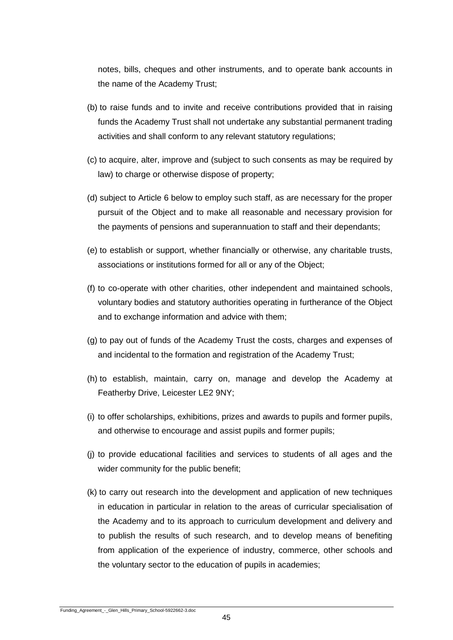notes, bills, cheques and other instruments, and to operate bank accounts in the name of the Academy Trust;

- (b) to raise funds and to invite and receive contributions provided that in raising funds the Academy Trust shall not undertake any substantial permanent trading activities and shall conform to any relevant statutory regulations;
- (c) to acquire, alter, improve and (subject to such consents as may be required by law) to charge or otherwise dispose of property;
- (d) subject to Article 6 below to employ such staff, as are necessary for the proper pursuit of the Object and to make all reasonable and necessary provision for the payments of pensions and superannuation to staff and their dependants;
- (e) to establish or support, whether financially or otherwise, any charitable trusts, associations or institutions formed for all or any of the Object;
- (f) to co-operate with other charities, other independent and maintained schools, voluntary bodies and statutory authorities operating in furtherance of the Object and to exchange information and advice with them;
- (g) to pay out of funds of the Academy Trust the costs, charges and expenses of and incidental to the formation and registration of the Academy Trust;
- (h) to establish, maintain, carry on, manage and develop the Academy at Featherby Drive, Leicester LE2 9NY;
- (i) to offer scholarships, exhibitions, prizes and awards to pupils and former pupils, and otherwise to encourage and assist pupils and former pupils;
- (j) to provide educational facilities and services to students of all ages and the wider community for the public benefit;
- (k) to carry out research into the development and application of new techniques in education in particular in relation to the areas of curricular specialisation of the Academy and to its approach to curriculum development and delivery and to publish the results of such research, and to develop means of benefiting from application of the experience of industry, commerce, other schools and the voluntary sector to the education of pupils in academies;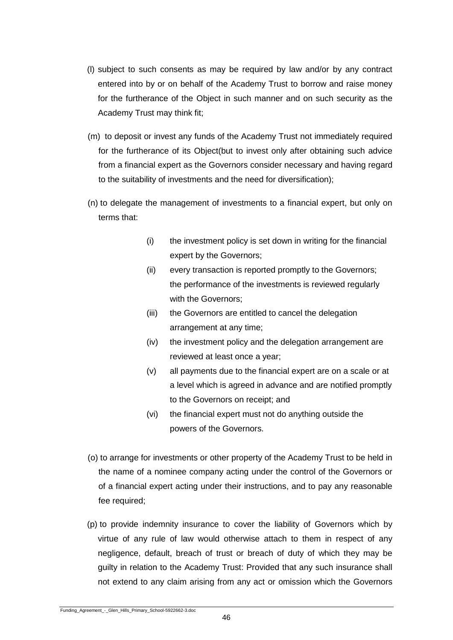- (l) subject to such consents as may be required by law and/or by any contract entered into by or on behalf of the Academy Trust to borrow and raise money for the furtherance of the Object in such manner and on such security as the Academy Trust may think fit;
- (m) to deposit or invest any funds of the Academy Trust not immediately required for the furtherance of its Object(but to invest only after obtaining such advice from a financial expert as the Governors consider necessary and having regard to the suitability of investments and the need for diversification);
- (n) to delegate the management of investments to a financial expert, but only on terms that:
	- (i) the investment policy is set down in writing for the financial expert by the Governors;
	- (ii) every transaction is reported promptly to the Governors; the performance of the investments is reviewed regularly with the Governors;
	- (iii) the Governors are entitled to cancel the delegation arrangement at any time;
	- (iv) the investment policy and the delegation arrangement are reviewed at least once a year;
	- (v) all payments due to the financial expert are on a scale or at a level which is agreed in advance and are notified promptly to the Governors on receipt; and
	- (vi) the financial expert must not do anything outside the powers of the Governors.
- (o) to arrange for investments or other property of the Academy Trust to be held in the name of a nominee company acting under the control of the Governors or of a financial expert acting under their instructions, and to pay any reasonable fee required;
- (p) to provide indemnity insurance to cover the liability of Governors which by virtue of any rule of law would otherwise attach to them in respect of any negligence, default, breach of trust or breach of duty of which they may be guilty in relation to the Academy Trust: Provided that any such insurance shall not extend to any claim arising from any act or omission which the Governors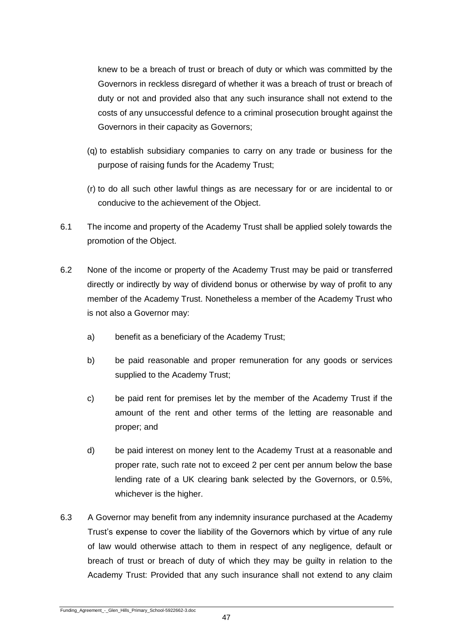knew to be a breach of trust or breach of duty or which was committed by the Governors in reckless disregard of whether it was a breach of trust or breach of duty or not and provided also that any such insurance shall not extend to the costs of any unsuccessful defence to a criminal prosecution brought against the Governors in their capacity as Governors;

- (q) to establish subsidiary companies to carry on any trade or business for the purpose of raising funds for the Academy Trust;
- (r) to do all such other lawful things as are necessary for or are incidental to or conducive to the achievement of the Object.
- 6.1 The income and property of the Academy Trust shall be applied solely towards the promotion of the Object.
- 6.2 None of the income or property of the Academy Trust may be paid or transferred directly or indirectly by way of dividend bonus or otherwise by way of profit to any member of the Academy Trust. Nonetheless a member of the Academy Trust who is not also a Governor may:
	- a) benefit as a beneficiary of the Academy Trust;
	- b) be paid reasonable and proper remuneration for any goods or services supplied to the Academy Trust;
	- c) be paid rent for premises let by the member of the Academy Trust if the amount of the rent and other terms of the letting are reasonable and proper; and
	- d) be paid interest on money lent to the Academy Trust at a reasonable and proper rate, such rate not to exceed 2 per cent per annum below the base lending rate of a UK clearing bank selected by the Governors, or 0.5%, whichever is the higher.
- 6.3 A Governor may benefit from any indemnity insurance purchased at the Academy Trust's expense to cover the liability of the Governors which by virtue of any rule of law would otherwise attach to them in respect of any negligence, default or breach of trust or breach of duty of which they may be guilty in relation to the Academy Trust: Provided that any such insurance shall not extend to any claim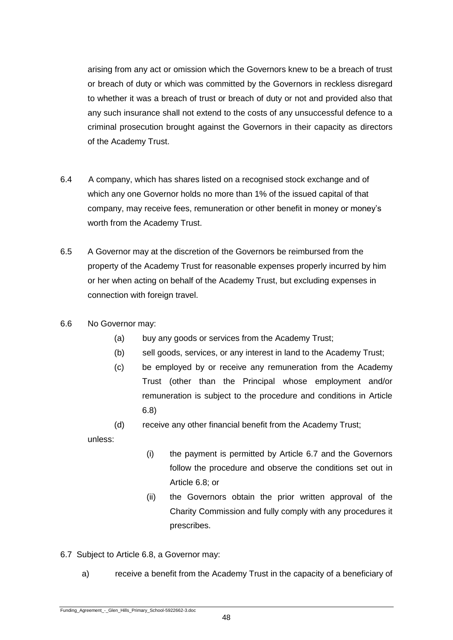arising from any act or omission which the Governors knew to be a breach of trust or breach of duty or which was committed by the Governors in reckless disregard to whether it was a breach of trust or breach of duty or not and provided also that any such insurance shall not extend to the costs of any unsuccessful defence to a criminal prosecution brought against the Governors in their capacity as directors of the Academy Trust.

- 6.4 A company, which has shares listed on a recognised stock exchange and of which any one Governor holds no more than 1% of the issued capital of that company, may receive fees, remuneration or other benefit in money or money's worth from the Academy Trust.
- 6.5 A Governor may at the discretion of the Governors be reimbursed from the property of the Academy Trust for reasonable expenses properly incurred by him or her when acting on behalf of the Academy Trust, but excluding expenses in connection with foreign travel.
- 6.6 No Governor may:
	- (a) buy any goods or services from the Academy Trust;
	- (b) sell goods, services, or any interest in land to the Academy Trust;
	- (c) be employed by or receive any remuneration from the Academy Trust (other than the Principal whose employment and/or remuneration is subject to the procedure and conditions in Article 6.8)
	- (d) receive any other financial benefit from the Academy Trust;

unless:

- (i) the payment is permitted by Article 6.7 and the Governors follow the procedure and observe the conditions set out in Article 6.8; or
- (ii) the Governors obtain the prior written approval of the Charity Commission and fully comply with any procedures it prescribes.
- 6.7 Subject to Article 6.8, a Governor may:
	- a) receive a benefit from the Academy Trust in the capacity of a beneficiary of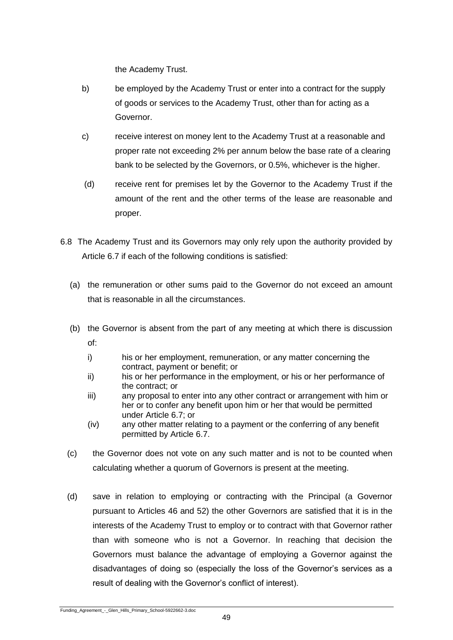the Academy Trust.

- b) be employed by the Academy Trust or enter into a contract for the supply of goods or services to the Academy Trust, other than for acting as a Governor.
- c) receive interest on money lent to the Academy Trust at a reasonable and proper rate not exceeding 2% per annum below the base rate of a clearing bank to be selected by the Governors, or 0.5%, whichever is the higher.
- (d) receive rent for premises let by the Governor to the Academy Trust if the amount of the rent and the other terms of the lease are reasonable and proper.
- 6.8 The Academy Trust and its Governors may only rely upon the authority provided by Article 6.7 if each of the following conditions is satisfied:
	- (a) the remuneration or other sums paid to the Governor do not exceed an amount that is reasonable in all the circumstances.
	- (b) the Governor is absent from the part of any meeting at which there is discussion of:
		- i) his or her employment, remuneration, or any matter concerning the contract, payment or benefit; or
		- ii) his or her performance in the employment, or his or her performance of the contract; or
		- iii) any proposal to enter into any other contract or arrangement with him or her or to confer any benefit upon him or her that would be permitted under Article 6.7; or
		- (iv) any other matter relating to a payment or the conferring of any benefit permitted by Article 6.7.
	- (c) the Governor does not vote on any such matter and is not to be counted when calculating whether a quorum of Governors is present at the meeting.
	- (d) save in relation to employing or contracting with the Principal (a Governor pursuant to Articles 46 and 52) the other Governors are satisfied that it is in the interests of the Academy Trust to employ or to contract with that Governor rather than with someone who is not a Governor. In reaching that decision the Governors must balance the advantage of employing a Governor against the disadvantages of doing so (especially the loss of the Governor's services as a result of dealing with the Governor's conflict of interest).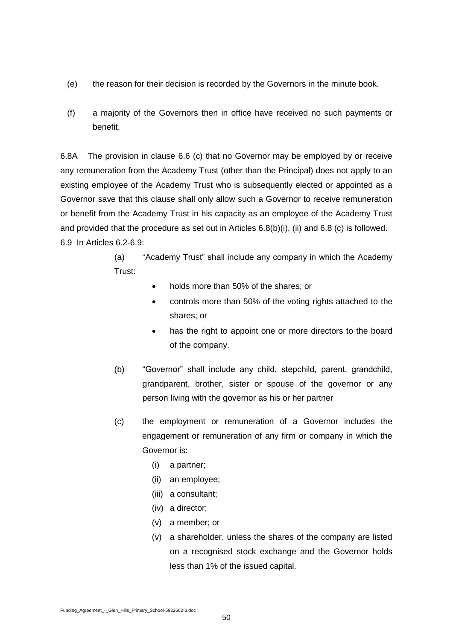- (e) the reason for their decision is recorded by the Governors in the minute book.
- (f) a majority of the Governors then in office have received no such payments or benefit.

6.8A The provision in clause 6.6 (c) that no Governor may be employed by or receive any remuneration from the Academy Trust (other than the Principal) does not apply to an existing employee of the Academy Trust who is subsequently elected or appointed as a Governor save that this clause shall only allow such a Governor to receive remuneration or benefit from the Academy Trust in his capacity as an employee of the Academy Trust and provided that the procedure as set out in Articles 6.8(b)(i), (ii) and 6.8 (c) is followed. 6.9 In Articles 6.2-6.9:

> (a) "Academy Trust" shall include any company in which the Academy Trust:

- holds more than 50% of the shares; or
- controls more than 50% of the voting rights attached to the shares; or
- has the right to appoint one or more directors to the board of the company.
- (b) "Governor" shall include any child, stepchild, parent, grandchild, grandparent, brother, sister or spouse of the governor or any person living with the governor as his or her partner
- (c) the employment or remuneration of a Governor includes the engagement or remuneration of any firm or company in which the Governor is:
	- (i) a partner;
	- (ii) an employee;
	- (iii) a consultant;
	- (iv) a director;
	- (v) a member; or
	- (v) a shareholder, unless the shares of the company are listed on a recognised stock exchange and the Governor holds less than 1% of the issued capital.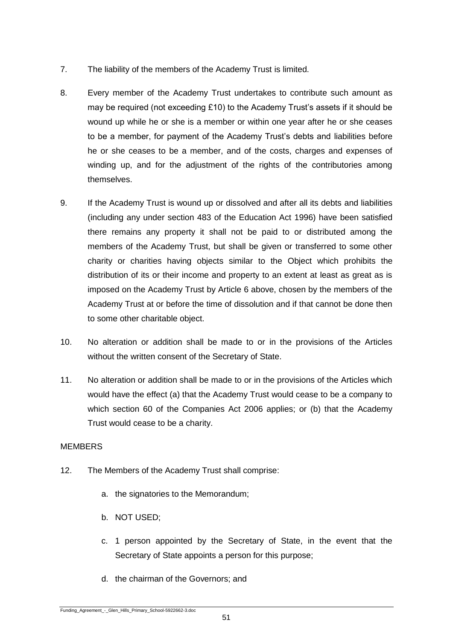- 7. The liability of the members of the Academy Trust is limited.
- 8. Every member of the Academy Trust undertakes to contribute such amount as may be required (not exceeding £10) to the Academy Trust's assets if it should be wound up while he or she is a member or within one year after he or she ceases to be a member, for payment of the Academy Trust's debts and liabilities before he or she ceases to be a member, and of the costs, charges and expenses of winding up, and for the adjustment of the rights of the contributories among themselves.
- 9. If the Academy Trust is wound up or dissolved and after all its debts and liabilities (including any under section 483 of the Education Act 1996) have been satisfied there remains any property it shall not be paid to or distributed among the members of the Academy Trust, but shall be given or transferred to some other charity or charities having objects similar to the Object which prohibits the distribution of its or their income and property to an extent at least as great as is imposed on the Academy Trust by Article 6 above, chosen by the members of the Academy Trust at or before the time of dissolution and if that cannot be done then to some other charitable object.
- 10. No alteration or addition shall be made to or in the provisions of the Articles without the written consent of the Secretary of State.
- 11. No alteration or addition shall be made to or in the provisions of the Articles which would have the effect (a) that the Academy Trust would cease to be a company to which section 60 of the Companies Act 2006 applies; or (b) that the Academy Trust would cease to be a charity.

# **MEMBERS**

- 12. The Members of the Academy Trust shall comprise:
	- a. the signatories to the Memorandum;
	- b. NOT USED;
	- c. 1 person appointed by the Secretary of State, in the event that the Secretary of State appoints a person for this purpose;
	- d. the chairman of the Governors; and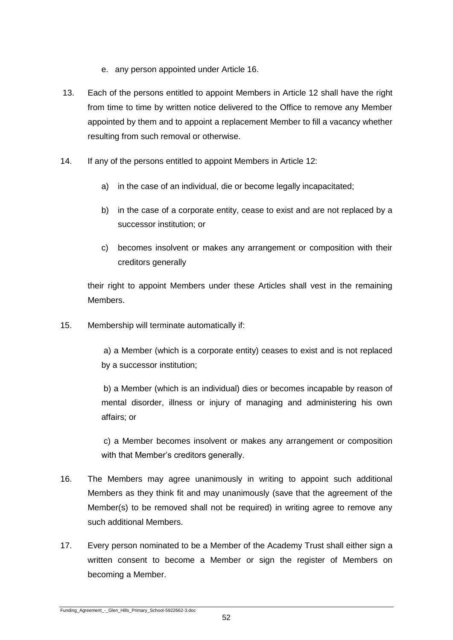- e. any person appointed under Article 16.
- 13. Each of the persons entitled to appoint Members in Article 12 shall have the right from time to time by written notice delivered to the Office to remove any Member appointed by them and to appoint a replacement Member to fill a vacancy whether resulting from such removal or otherwise.
- 14. If any of the persons entitled to appoint Members in Article 12:
	- a) in the case of an individual, die or become legally incapacitated;
	- b) in the case of a corporate entity, cease to exist and are not replaced by a successor institution; or
	- c) becomes insolvent or makes any arrangement or composition with their creditors generally

their right to appoint Members under these Articles shall vest in the remaining Members.

15. Membership will terminate automatically if:

a) a Member (which is a corporate entity) ceases to exist and is not replaced by a successor institution;

b) a Member (which is an individual) dies or becomes incapable by reason of mental disorder, illness or injury of managing and administering his own affairs; or

c) a Member becomes insolvent or makes any arrangement or composition with that Member's creditors generally.

- 16. The Members may agree unanimously in writing to appoint such additional Members as they think fit and may unanimously (save that the agreement of the Member(s) to be removed shall not be required) in writing agree to remove any such additional Members.
- 17. Every person nominated to be a Member of the Academy Trust shall either sign a written consent to become a Member or sign the register of Members on becoming a Member.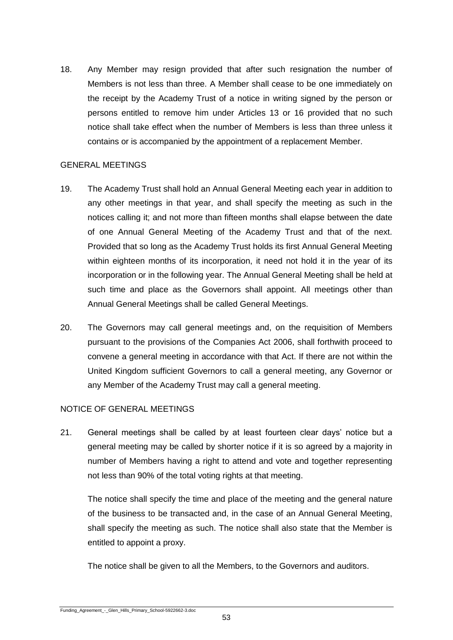18. Any Member may resign provided that after such resignation the number of Members is not less than three. A Member shall cease to be one immediately on the receipt by the Academy Trust of a notice in writing signed by the person or persons entitled to remove him under Articles 13 or 16 provided that no such notice shall take effect when the number of Members is less than three unless it contains or is accompanied by the appointment of a replacement Member.

# GENERAL MEETINGS

- 19. The Academy Trust shall hold an Annual General Meeting each year in addition to any other meetings in that year, and shall specify the meeting as such in the notices calling it; and not more than fifteen months shall elapse between the date of one Annual General Meeting of the Academy Trust and that of the next. Provided that so long as the Academy Trust holds its first Annual General Meeting within eighteen months of its incorporation, it need not hold it in the year of its incorporation or in the following year. The Annual General Meeting shall be held at such time and place as the Governors shall appoint. All meetings other than Annual General Meetings shall be called General Meetings.
- 20. The Governors may call general meetings and, on the requisition of Members pursuant to the provisions of the Companies Act 2006, shall forthwith proceed to convene a general meeting in accordance with that Act. If there are not within the United Kingdom sufficient Governors to call a general meeting, any Governor or any Member of the Academy Trust may call a general meeting.

# NOTICE OF GENERAL MEETINGS

21. General meetings shall be called by at least fourteen clear days' notice but a general meeting may be called by shorter notice if it is so agreed by a majority in number of Members having a right to attend and vote and together representing not less than 90% of the total voting rights at that meeting.

The notice shall specify the time and place of the meeting and the general nature of the business to be transacted and, in the case of an Annual General Meeting, shall specify the meeting as such. The notice shall also state that the Member is entitled to appoint a proxy.

The notice shall be given to all the Members, to the Governors and auditors.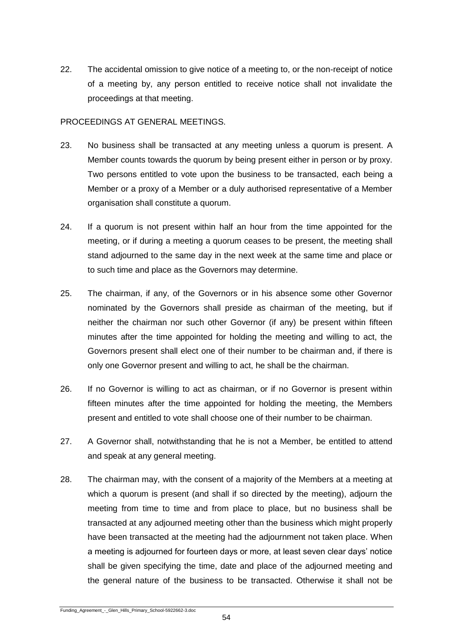22. The accidental omission to give notice of a meeting to, or the non-receipt of notice of a meeting by, any person entitled to receive notice shall not invalidate the proceedings at that meeting.

# PROCEEDINGS AT GENERAL MEETINGS.

- 23. No business shall be transacted at any meeting unless a quorum is present. A Member counts towards the quorum by being present either in person or by proxy. Two persons entitled to vote upon the business to be transacted, each being a Member or a proxy of a Member or a duly authorised representative of a Member organisation shall constitute a quorum.
- 24. If a quorum is not present within half an hour from the time appointed for the meeting, or if during a meeting a quorum ceases to be present, the meeting shall stand adjourned to the same day in the next week at the same time and place or to such time and place as the Governors may determine.
- 25. The chairman, if any, of the Governors or in his absence some other Governor nominated by the Governors shall preside as chairman of the meeting, but if neither the chairman nor such other Governor (if any) be present within fifteen minutes after the time appointed for holding the meeting and willing to act, the Governors present shall elect one of their number to be chairman and, if there is only one Governor present and willing to act, he shall be the chairman.
- 26. If no Governor is willing to act as chairman, or if no Governor is present within fifteen minutes after the time appointed for holding the meeting, the Members present and entitled to vote shall choose one of their number to be chairman.
- 27. A Governor shall, notwithstanding that he is not a Member, be entitled to attend and speak at any general meeting.
- 28. The chairman may, with the consent of a majority of the Members at a meeting at which a quorum is present (and shall if so directed by the meeting), adjourn the meeting from time to time and from place to place, but no business shall be transacted at any adjourned meeting other than the business which might properly have been transacted at the meeting had the adjournment not taken place. When a meeting is adjourned for fourteen days or more, at least seven clear days' notice shall be given specifying the time, date and place of the adjourned meeting and the general nature of the business to be transacted. Otherwise it shall not be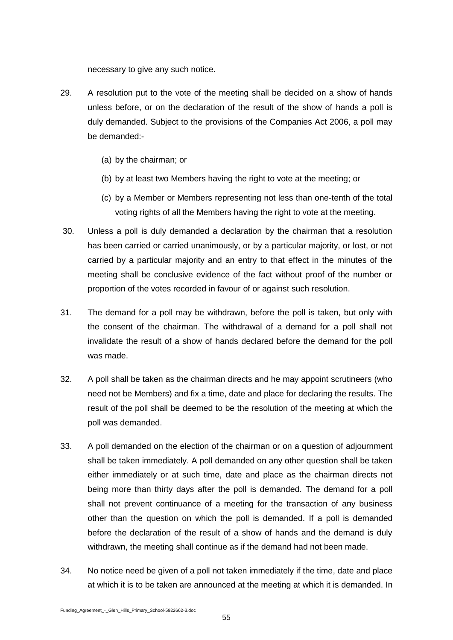necessary to give any such notice.

- 29. A resolution put to the vote of the meeting shall be decided on a show of hands unless before, or on the declaration of the result of the show of hands a poll is duly demanded. Subject to the provisions of the Companies Act 2006, a poll may be demanded:-
	- (a) by the chairman; or
	- (b) by at least two Members having the right to vote at the meeting; or
	- (c) by a Member or Members representing not less than one-tenth of the total voting rights of all the Members having the right to vote at the meeting.
- 30. Unless a poll is duly demanded a declaration by the chairman that a resolution has been carried or carried unanimously, or by a particular majority, or lost, or not carried by a particular majority and an entry to that effect in the minutes of the meeting shall be conclusive evidence of the fact without proof of the number or proportion of the votes recorded in favour of or against such resolution.
- 31. The demand for a poll may be withdrawn, before the poll is taken, but only with the consent of the chairman. The withdrawal of a demand for a poll shall not invalidate the result of a show of hands declared before the demand for the poll was made.
- 32. A poll shall be taken as the chairman directs and he may appoint scrutineers (who need not be Members) and fix a time, date and place for declaring the results. The result of the poll shall be deemed to be the resolution of the meeting at which the poll was demanded.
- 33. A poll demanded on the election of the chairman or on a question of adjournment shall be taken immediately. A poll demanded on any other question shall be taken either immediately or at such time, date and place as the chairman directs not being more than thirty days after the poll is demanded. The demand for a poll shall not prevent continuance of a meeting for the transaction of any business other than the question on which the poll is demanded. If a poll is demanded before the declaration of the result of a show of hands and the demand is duly withdrawn, the meeting shall continue as if the demand had not been made.
- 34. No notice need be given of a poll not taken immediately if the time, date and place at which it is to be taken are announced at the meeting at which it is demanded. In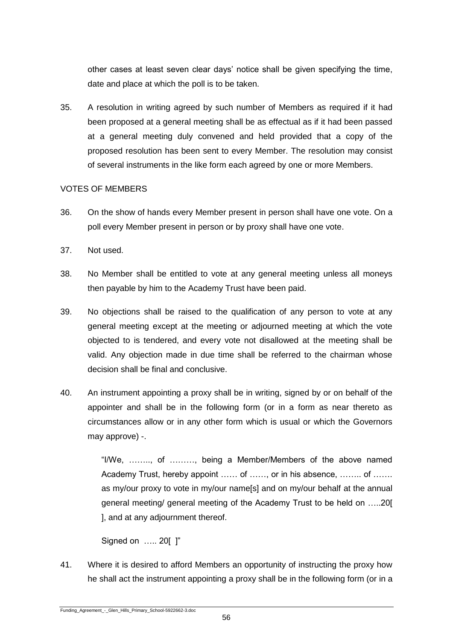other cases at least seven clear days' notice shall be given specifying the time, date and place at which the poll is to be taken.

35. A resolution in writing agreed by such number of Members as required if it had been proposed at a general meeting shall be as effectual as if it had been passed at a general meeting duly convened and held provided that a copy of the proposed resolution has been sent to every Member. The resolution may consist of several instruments in the like form each agreed by one or more Members.

# VOTES OF MEMBERS

- 36. On the show of hands every Member present in person shall have one vote. On a poll every Member present in person or by proxy shall have one vote.
- 37. Not used.
- 38. No Member shall be entitled to vote at any general meeting unless all moneys then payable by him to the Academy Trust have been paid.
- 39. No objections shall be raised to the qualification of any person to vote at any general meeting except at the meeting or adjourned meeting at which the vote objected to is tendered, and every vote not disallowed at the meeting shall be valid. Any objection made in due time shall be referred to the chairman whose decision shall be final and conclusive.
- 40. An instrument appointing a proxy shall be in writing, signed by or on behalf of the appointer and shall be in the following form (or in a form as near thereto as circumstances allow or in any other form which is usual or which the Governors may approve) -.

"I/We, …….., of ………, being a Member/Members of the above named Academy Trust, hereby appoint …… of ……, or in his absence, …….. of ……. as my/our proxy to vote in my/our name[s] and on my/our behalf at the annual general meeting/ general meeting of the Academy Trust to be held on …..20[ ], and at any adjournment thereof.

Signed on ….. 20[ ]"

41. Where it is desired to afford Members an opportunity of instructing the proxy how he shall act the instrument appointing a proxy shall be in the following form (or in a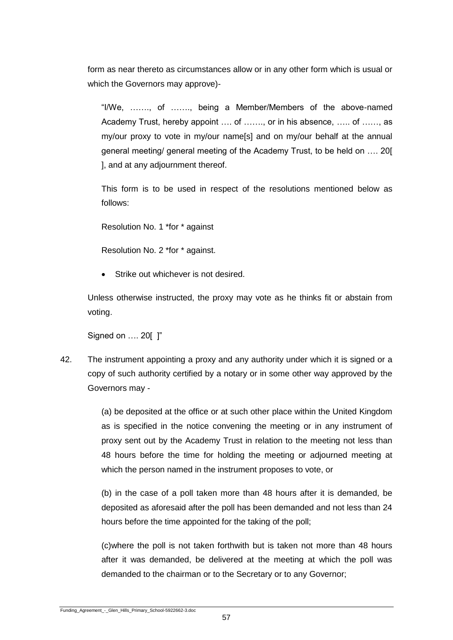form as near thereto as circumstances allow or in any other form which is usual or which the Governors may approve)-

"I/We, ……., of ……., being a Member/Members of the above-named Academy Trust, hereby appoint …. of ……., or in his absence, ….. of ……, as my/our proxy to vote in my/our name[s] and on my/our behalf at the annual general meeting/ general meeting of the Academy Trust, to be held on …. 20[ ], and at any adjournment thereof.

This form is to be used in respect of the resolutions mentioned below as follows:

Resolution No. 1 \*for \* against

Resolution No. 2 \*for \* against.

Strike out whichever is not desired.

Unless otherwise instructed, the proxy may vote as he thinks fit or abstain from voting.

Signed on …. 20[ ]"

42. The instrument appointing a proxy and any authority under which it is signed or a copy of such authority certified by a notary or in some other way approved by the Governors may -

> (a) be deposited at the office or at such other place within the United Kingdom as is specified in the notice convening the meeting or in any instrument of proxy sent out by the Academy Trust in relation to the meeting not less than 48 hours before the time for holding the meeting or adjourned meeting at which the person named in the instrument proposes to vote, or

> (b) in the case of a poll taken more than 48 hours after it is demanded, be deposited as aforesaid after the poll has been demanded and not less than 24 hours before the time appointed for the taking of the poll;

> (c)where the poll is not taken forthwith but is taken not more than 48 hours after it was demanded, be delivered at the meeting at which the poll was demanded to the chairman or to the Secretary or to any Governor;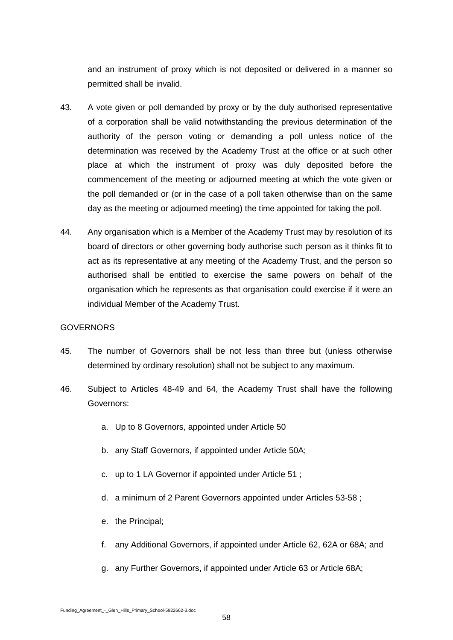and an instrument of proxy which is not deposited or delivered in a manner so permitted shall be invalid.

- 43. A vote given or poll demanded by proxy or by the duly authorised representative of a corporation shall be valid notwithstanding the previous determination of the authority of the person voting or demanding a poll unless notice of the determination was received by the Academy Trust at the office or at such other place at which the instrument of proxy was duly deposited before the commencement of the meeting or adjourned meeting at which the vote given or the poll demanded or (or in the case of a poll taken otherwise than on the same day as the meeting or adjourned meeting) the time appointed for taking the poll.
- 44. Any organisation which is a Member of the Academy Trust may by resolution of its board of directors or other governing body authorise such person as it thinks fit to act as its representative at any meeting of the Academy Trust, and the person so authorised shall be entitled to exercise the same powers on behalf of the organisation which he represents as that organisation could exercise if it were an individual Member of the Academy Trust.

#### **GOVERNORS**

- 45. The number of Governors shall be not less than three but (unless otherwise determined by ordinary resolution) shall not be subject to any maximum.
- 46. Subject to Articles 48-49 and 64, the Academy Trust shall have the following Governors:
	- a. Up to 8 Governors, appointed under Article 50
	- b. any Staff Governors, if appointed under Article 50A;
	- c. up to 1 LA Governor if appointed under Article 51 ;
	- d. a minimum of 2 Parent Governors appointed under Articles 53-58 ;
	- e. the Principal;
	- f. any Additional Governors, if appointed under Article 62, 62A or 68A; and
	- g. any Further Governors, if appointed under Article 63 or Article 68A;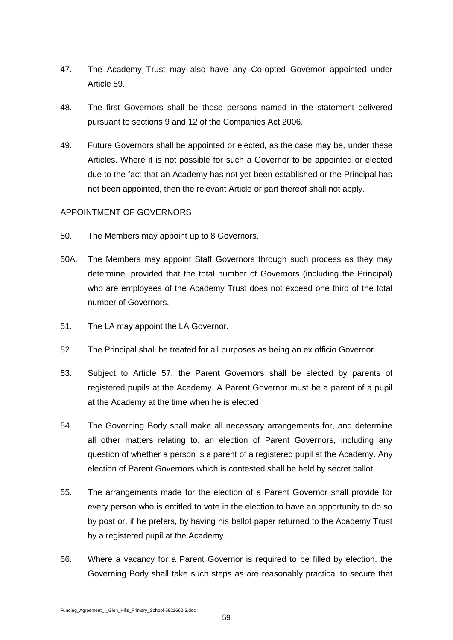- 47. The Academy Trust may also have any Co-opted Governor appointed under Article 59.
- 48. The first Governors shall be those persons named in the statement delivered pursuant to sections 9 and 12 of the Companies Act 2006.
- 49. Future Governors shall be appointed or elected, as the case may be, under these Articles. Where it is not possible for such a Governor to be appointed or elected due to the fact that an Academy has not yet been established or the Principal has not been appointed, then the relevant Article or part thereof shall not apply.

# APPOINTMENT OF GOVERNORS

- 50. The Members may appoint up to 8 Governors.
- 50A. The Members may appoint Staff Governors through such process as they may determine, provided that the total number of Governors (including the Principal) who are employees of the Academy Trust does not exceed one third of the total number of Governors.
- 51. The LA may appoint the LA Governor.
- 52. The Principal shall be treated for all purposes as being an ex officio Governor.
- 53. Subject to Article 57, the Parent Governors shall be elected by parents of registered pupils at the Academy. A Parent Governor must be a parent of a pupil at the Academy at the time when he is elected.
- 54. The Governing Body shall make all necessary arrangements for, and determine all other matters relating to, an election of Parent Governors, including any question of whether a person is a parent of a registered pupil at the Academy. Any election of Parent Governors which is contested shall be held by secret ballot.
- 55. The arrangements made for the election of a Parent Governor shall provide for every person who is entitled to vote in the election to have an opportunity to do so by post or, if he prefers, by having his ballot paper returned to the Academy Trust by a registered pupil at the Academy.
- 56. Where a vacancy for a Parent Governor is required to be filled by election, the Governing Body shall take such steps as are reasonably practical to secure that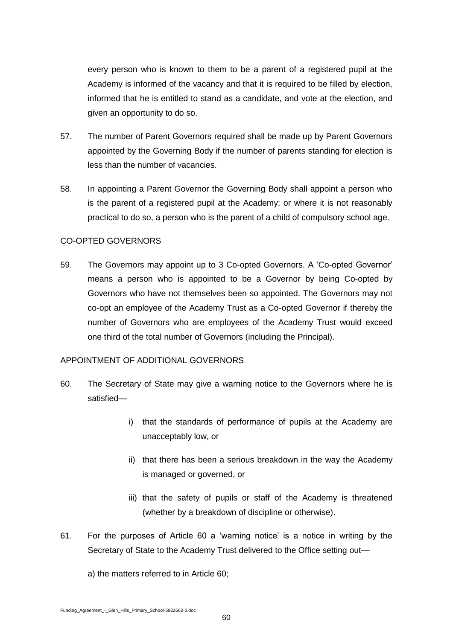every person who is known to them to be a parent of a registered pupil at the Academy is informed of the vacancy and that it is required to be filled by election, informed that he is entitled to stand as a candidate, and vote at the election, and given an opportunity to do so.

- 57. The number of Parent Governors required shall be made up by Parent Governors appointed by the Governing Body if the number of parents standing for election is less than the number of vacancies.
- 58. In appointing a Parent Governor the Governing Body shall appoint a person who is the parent of a registered pupil at the Academy; or where it is not reasonably practical to do so, a person who is the parent of a child of compulsory school age.

# CO-OPTED GOVERNORS

59. The Governors may appoint up to 3 Co-opted Governors. A 'Co-opted Governor' means a person who is appointed to be a Governor by being Co-opted by Governors who have not themselves been so appointed. The Governors may not co-opt an employee of the Academy Trust as a Co-opted Governor if thereby the number of Governors who are employees of the Academy Trust would exceed one third of the total number of Governors (including the Principal).

#### APPOINTMENT OF ADDITIONAL GOVERNORS

- 60. The Secretary of State may give a warning notice to the Governors where he is satisfied
	- i) that the standards of performance of pupils at the Academy are unacceptably low, or
	- ii) that there has been a serious breakdown in the way the Academy is managed or governed, or
	- iii) that the safety of pupils or staff of the Academy is threatened (whether by a breakdown of discipline or otherwise).
- 61. For the purposes of Article 60 a 'warning notice' is a notice in writing by the Secretary of State to the Academy Trust delivered to the Office setting out—

a) the matters referred to in Article 60;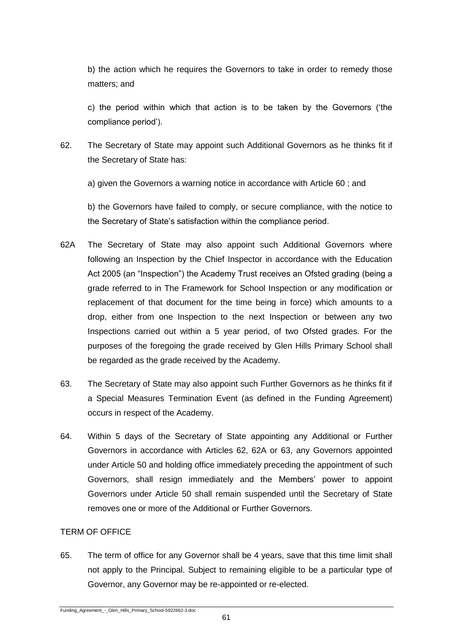b) the action which he requires the Governors to take in order to remedy those matters; and

c) the period within which that action is to be taken by the Governors ('the compliance period').

62. The Secretary of State may appoint such Additional Governors as he thinks fit if the Secretary of State has:

a) given the Governors a warning notice in accordance with Article 60 ; and

b) the Governors have failed to comply, or secure compliance, with the notice to the Secretary of State's satisfaction within the compliance period.

- 62A The Secretary of State may also appoint such Additional Governors where following an Inspection by the Chief Inspector in accordance with the Education Act 2005 (an "Inspection") the Academy Trust receives an Ofsted grading (being a grade referred to in The Framework for School Inspection or any modification or replacement of that document for the time being in force) which amounts to a drop, either from one Inspection to the next Inspection or between any two Inspections carried out within a 5 year period, of two Ofsted grades. For the purposes of the foregoing the grade received by Glen Hills Primary School shall be regarded as the grade received by the Academy.
- 63. The Secretary of State may also appoint such Further Governors as he thinks fit if a Special Measures Termination Event (as defined in the Funding Agreement) occurs in respect of the Academy.
- 64. Within 5 days of the Secretary of State appointing any Additional or Further Governors in accordance with Articles 62, 62A or 63, any Governors appointed under Article 50 and holding office immediately preceding the appointment of such Governors, shall resign immediately and the Members' power to appoint Governors under Article 50 shall remain suspended until the Secretary of State removes one or more of the Additional or Further Governors.

# TERM OF OFFICE

65. The term of office for any Governor shall be 4 years, save that this time limit shall not apply to the Principal. Subject to remaining eligible to be a particular type of Governor, any Governor may be re-appointed or re-elected.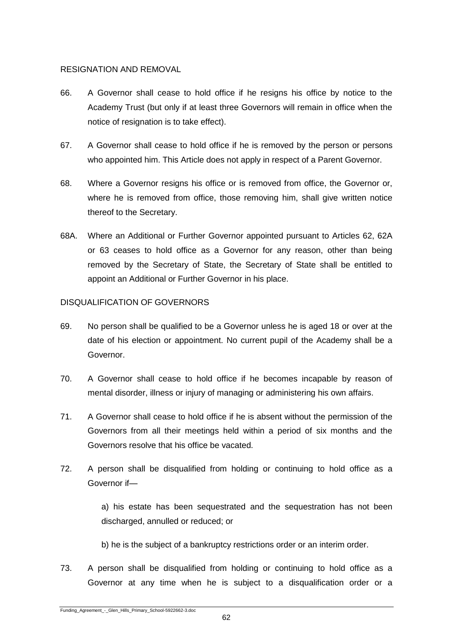# RESIGNATION AND REMOVAL

- 66. A Governor shall cease to hold office if he resigns his office by notice to the Academy Trust (but only if at least three Governors will remain in office when the notice of resignation is to take effect).
- 67. A Governor shall cease to hold office if he is removed by the person or persons who appointed him. This Article does not apply in respect of a Parent Governor.
- 68. Where a Governor resigns his office or is removed from office, the Governor or, where he is removed from office, those removing him, shall give written notice thereof to the Secretary.
- 68A. Where an Additional or Further Governor appointed pursuant to Articles 62, 62A or 63 ceases to hold office as a Governor for any reason, other than being removed by the Secretary of State, the Secretary of State shall be entitled to appoint an Additional or Further Governor in his place.

# DISQUALIFICATION OF GOVERNORS

- 69. No person shall be qualified to be a Governor unless he is aged 18 or over at the date of his election or appointment. No current pupil of the Academy shall be a Governor.
- 70. A Governor shall cease to hold office if he becomes incapable by reason of mental disorder, illness or injury of managing or administering his own affairs.
- 71. A Governor shall cease to hold office if he is absent without the permission of the Governors from all their meetings held within a period of six months and the Governors resolve that his office be vacated.
- 72. A person shall be disqualified from holding or continuing to hold office as a Governor if—

a) his estate has been sequestrated and the sequestration has not been discharged, annulled or reduced; or

b) he is the subject of a bankruptcy restrictions order or an interim order.

73. A person shall be disqualified from holding or continuing to hold office as a Governor at any time when he is subject to a disqualification order or a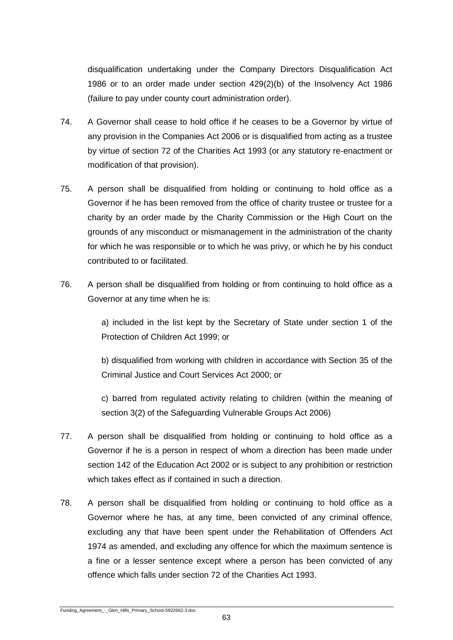disqualification undertaking under the Company Directors Disqualification Act 1986 or to an order made under section 429(2)(b) of the Insolvency Act 1986 (failure to pay under county court administration order).

- 74. A Governor shall cease to hold office if he ceases to be a Governor by virtue of any provision in the Companies Act 2006 or is disqualified from acting as a trustee by virtue of section 72 of the Charities Act 1993 (or any statutory re-enactment or modification of that provision).
- 75. A person shall be disqualified from holding or continuing to hold office as a Governor if he has been removed from the office of charity trustee or trustee for a charity by an order made by the Charity Commission or the High Court on the grounds of any misconduct or mismanagement in the administration of the charity for which he was responsible or to which he was privy, or which he by his conduct contributed to or facilitated.
- 76. A person shall be disqualified from holding or from continuing to hold office as a Governor at any time when he is:

a) included in the list kept by the Secretary of State under section 1 of the Protection of Children Act 1999; or

b) disqualified from working with children in accordance with Section 35 of the Criminal Justice and Court Services Act 2000; or

c) barred from regulated activity relating to children (within the meaning of section 3(2) of the Safeguarding Vulnerable Groups Act 2006)

- 77. A person shall be disqualified from holding or continuing to hold office as a Governor if he is a person in respect of whom a direction has been made under section 142 of the Education Act 2002 or is subject to any prohibition or restriction which takes effect as if contained in such a direction.
- 78. A person shall be disqualified from holding or continuing to hold office as a Governor where he has, at any time, been convicted of any criminal offence, excluding any that have been spent under the Rehabilitation of Offenders Act 1974 as amended, and excluding any offence for which the maximum sentence is a fine or a lesser sentence except where a person has been convicted of any offence which falls under section 72 of the Charities Act 1993.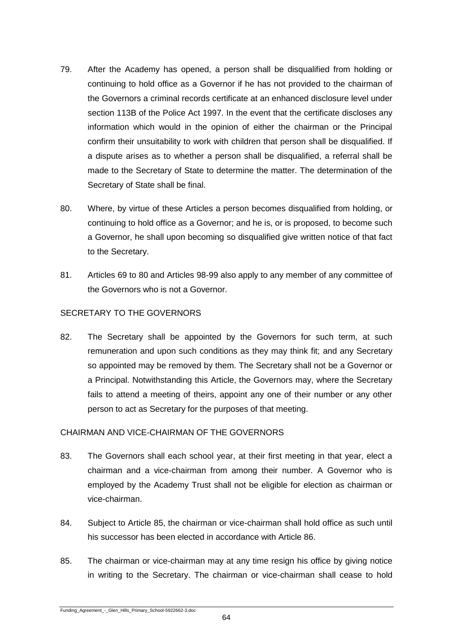- 79. After the Academy has opened, a person shall be disqualified from holding or continuing to hold office as a Governor if he has not provided to the chairman of the Governors a criminal records certificate at an enhanced disclosure level under section 113B of the Police Act 1997. In the event that the certificate discloses any information which would in the opinion of either the chairman or the Principal confirm their unsuitability to work with children that person shall be disqualified. If a dispute arises as to whether a person shall be disqualified, a referral shall be made to the Secretary of State to determine the matter. The determination of the Secretary of State shall be final.
- 80. Where, by virtue of these Articles a person becomes disqualified from holding, or continuing to hold office as a Governor; and he is, or is proposed, to become such a Governor, he shall upon becoming so disqualified give written notice of that fact to the Secretary.
- 81. Articles 69 to 80 and Articles 98-99 also apply to any member of any committee of the Governors who is not a Governor.

# SECRETARY TO THE GOVERNORS

82. The Secretary shall be appointed by the Governors for such term, at such remuneration and upon such conditions as they may think fit; and any Secretary so appointed may be removed by them. The Secretary shall not be a Governor or a Principal. Notwithstanding this Article, the Governors may, where the Secretary fails to attend a meeting of theirs, appoint any one of their number or any other person to act as Secretary for the purposes of that meeting.

# CHAIRMAN AND VICE-CHAIRMAN OF THE GOVERNORS

- 83. The Governors shall each school year, at their first meeting in that year, elect a chairman and a vice-chairman from among their number. A Governor who is employed by the Academy Trust shall not be eligible for election as chairman or vice-chairman.
- 84. Subject to Article 85, the chairman or vice-chairman shall hold office as such until his successor has been elected in accordance with Article 86.
- 85. The chairman or vice-chairman may at any time resign his office by giving notice in writing to the Secretary. The chairman or vice-chairman shall cease to hold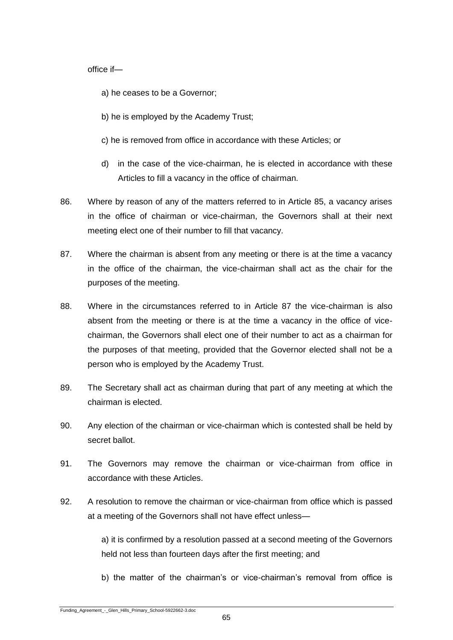office if—

- a) he ceases to be a Governor;
- b) he is employed by the Academy Trust;
- c) he is removed from office in accordance with these Articles; or
- d) in the case of the vice-chairman, he is elected in accordance with these Articles to fill a vacancy in the office of chairman.
- 86. Where by reason of any of the matters referred to in Article 85, a vacancy arises in the office of chairman or vice-chairman, the Governors shall at their next meeting elect one of their number to fill that vacancy.
- 87. Where the chairman is absent from any meeting or there is at the time a vacancy in the office of the chairman, the vice-chairman shall act as the chair for the purposes of the meeting.
- 88. Where in the circumstances referred to in Article 87 the vice-chairman is also absent from the meeting or there is at the time a vacancy in the office of vicechairman, the Governors shall elect one of their number to act as a chairman for the purposes of that meeting, provided that the Governor elected shall not be a person who is employed by the Academy Trust.
- 89. The Secretary shall act as chairman during that part of any meeting at which the chairman is elected.
- 90. Any election of the chairman or vice-chairman which is contested shall be held by secret ballot.
- 91. The Governors may remove the chairman or vice-chairman from office in accordance with these Articles.
- 92. A resolution to remove the chairman or vice-chairman from office which is passed at a meeting of the Governors shall not have effect unless—

a) it is confirmed by a resolution passed at a second meeting of the Governors held not less than fourteen days after the first meeting; and

b) the matter of the chairman's or vice-chairman's removal from office is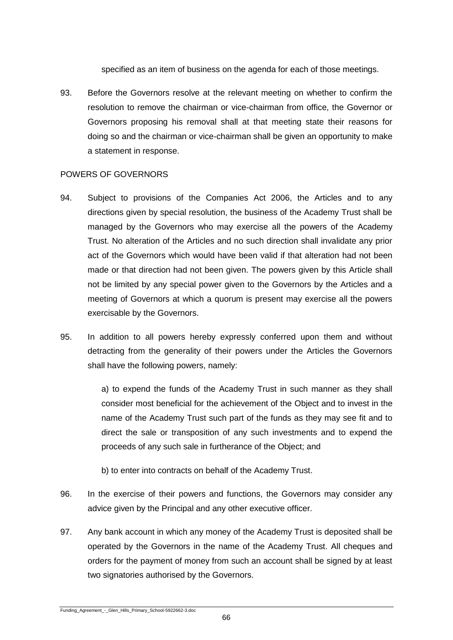specified as an item of business on the agenda for each of those meetings.

93. Before the Governors resolve at the relevant meeting on whether to confirm the resolution to remove the chairman or vice-chairman from office, the Governor or Governors proposing his removal shall at that meeting state their reasons for doing so and the chairman or vice-chairman shall be given an opportunity to make a statement in response.

# POWERS OF GOVERNORS

- 94. Subject to provisions of the Companies Act 2006, the Articles and to any directions given by special resolution, the business of the Academy Trust shall be managed by the Governors who may exercise all the powers of the Academy Trust. No alteration of the Articles and no such direction shall invalidate any prior act of the Governors which would have been valid if that alteration had not been made or that direction had not been given. The powers given by this Article shall not be limited by any special power given to the Governors by the Articles and a meeting of Governors at which a quorum is present may exercise all the powers exercisable by the Governors.
- 95. In addition to all powers hereby expressly conferred upon them and without detracting from the generality of their powers under the Articles the Governors shall have the following powers, namely:

a) to expend the funds of the Academy Trust in such manner as they shall consider most beneficial for the achievement of the Object and to invest in the name of the Academy Trust such part of the funds as they may see fit and to direct the sale or transposition of any such investments and to expend the proceeds of any such sale in furtherance of the Object; and

- b) to enter into contracts on behalf of the Academy Trust.
- 96. In the exercise of their powers and functions, the Governors may consider any advice given by the Principal and any other executive officer.
- 97. Any bank account in which any money of the Academy Trust is deposited shall be operated by the Governors in the name of the Academy Trust. All cheques and orders for the payment of money from such an account shall be signed by at least two signatories authorised by the Governors.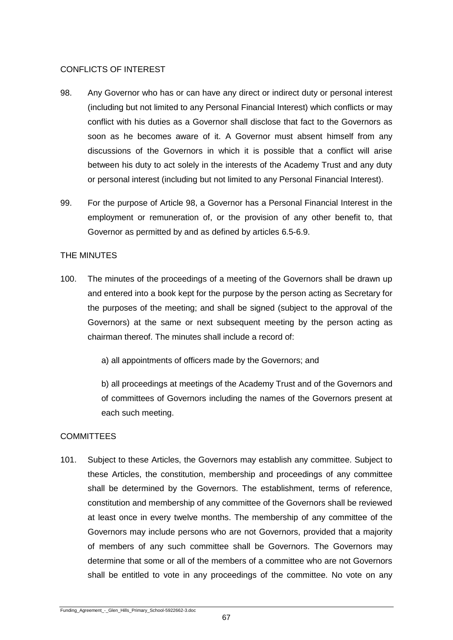# CONFLICTS OF INTEREST

- 98. Any Governor who has or can have any direct or indirect duty or personal interest (including but not limited to any Personal Financial Interest) which conflicts or may conflict with his duties as a Governor shall disclose that fact to the Governors as soon as he becomes aware of it. A Governor must absent himself from any discussions of the Governors in which it is possible that a conflict will arise between his duty to act solely in the interests of the Academy Trust and any duty or personal interest (including but not limited to any Personal Financial Interest).
- 99. For the purpose of Article 98, a Governor has a Personal Financial Interest in the employment or remuneration of, or the provision of any other benefit to, that Governor as permitted by and as defined by articles 6.5-6.9.

# THE MINUTES

- 100. The minutes of the proceedings of a meeting of the Governors shall be drawn up and entered into a book kept for the purpose by the person acting as Secretary for the purposes of the meeting; and shall be signed (subject to the approval of the Governors) at the same or next subsequent meeting by the person acting as chairman thereof. The minutes shall include a record of:
	- a) all appointments of officers made by the Governors; and

b) all proceedings at meetings of the Academy Trust and of the Governors and of committees of Governors including the names of the Governors present at each such meeting.

# **COMMITTEES**

101. Subject to these Articles, the Governors may establish any committee. Subject to these Articles, the constitution, membership and proceedings of any committee shall be determined by the Governors. The establishment, terms of reference, constitution and membership of any committee of the Governors shall be reviewed at least once in every twelve months. The membership of any committee of the Governors may include persons who are not Governors, provided that a majority of members of any such committee shall be Governors. The Governors may determine that some or all of the members of a committee who are not Governors shall be entitled to vote in any proceedings of the committee. No vote on any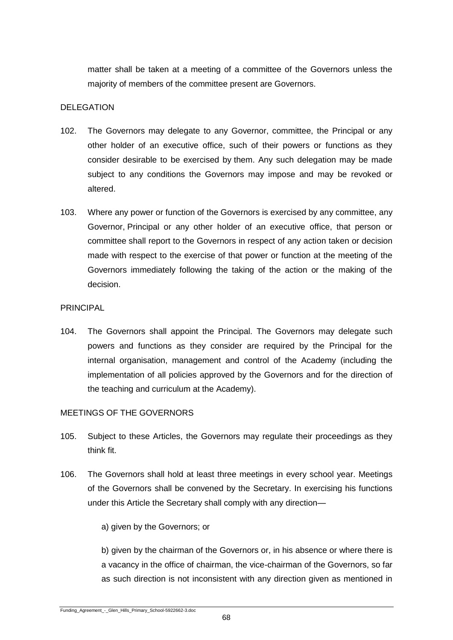matter shall be taken at a meeting of a committee of the Governors unless the majority of members of the committee present are Governors.

# DELEGATION

- 102. The Governors may delegate to any Governor, committee, the Principal or any other holder of an executive office, such of their powers or functions as they consider desirable to be exercised by them. Any such delegation may be made subject to any conditions the Governors may impose and may be revoked or altered.
- 103. Where any power or function of the Governors is exercised by any committee, any Governor, Principal or any other holder of an executive office, that person or committee shall report to the Governors in respect of any action taken or decision made with respect to the exercise of that power or function at the meeting of the Governors immediately following the taking of the action or the making of the decision.

# PRINCIPAL

104. The Governors shall appoint the Principal. The Governors may delegate such powers and functions as they consider are required by the Principal for the internal organisation, management and control of the Academy (including the implementation of all policies approved by the Governors and for the direction of the teaching and curriculum at the Academy).

# MEETINGS OF THE GOVERNORS

- 105. Subject to these Articles, the Governors may regulate their proceedings as they think fit.
- 106. The Governors shall hold at least three meetings in every school year. Meetings of the Governors shall be convened by the Secretary. In exercising his functions under this Article the Secretary shall comply with any direction—

a) given by the Governors; or

b) given by the chairman of the Governors or, in his absence or where there is a vacancy in the office of chairman, the vice-chairman of the Governors, so far as such direction is not inconsistent with any direction given as mentioned in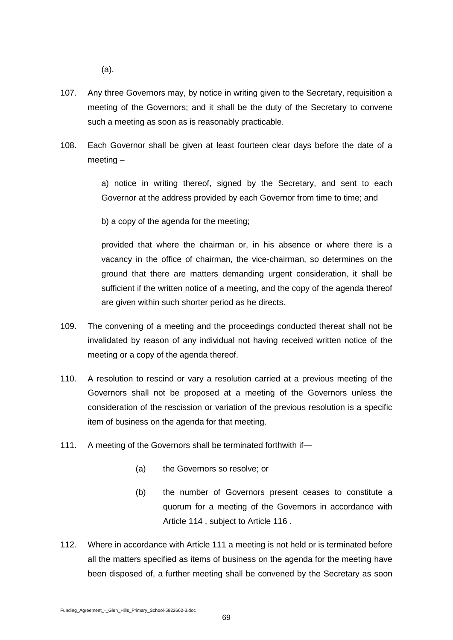(a).

- 107. Any three Governors may, by notice in writing given to the Secretary, requisition a meeting of the Governors; and it shall be the duty of the Secretary to convene such a meeting as soon as is reasonably practicable.
- 108. Each Governor shall be given at least fourteen clear days before the date of a meeting –

a) notice in writing thereof, signed by the Secretary, and sent to each Governor at the address provided by each Governor from time to time; and

b) a copy of the agenda for the meeting;

provided that where the chairman or, in his absence or where there is a vacancy in the office of chairman, the vice-chairman, so determines on the ground that there are matters demanding urgent consideration, it shall be sufficient if the written notice of a meeting, and the copy of the agenda thereof are given within such shorter period as he directs.

- 109. The convening of a meeting and the proceedings conducted thereat shall not be invalidated by reason of any individual not having received written notice of the meeting or a copy of the agenda thereof.
- 110. A resolution to rescind or vary a resolution carried at a previous meeting of the Governors shall not be proposed at a meeting of the Governors unless the consideration of the rescission or variation of the previous resolution is a specific item of business on the agenda for that meeting.
- 111. A meeting of the Governors shall be terminated forthwith if-
	- (a) the Governors so resolve; or
	- (b) the number of Governors present ceases to constitute a quorum for a meeting of the Governors in accordance with Article 114 , subject to Article 116 .
- 112. Where in accordance with Article 111 a meeting is not held or is terminated before all the matters specified as items of business on the agenda for the meeting have been disposed of, a further meeting shall be convened by the Secretary as soon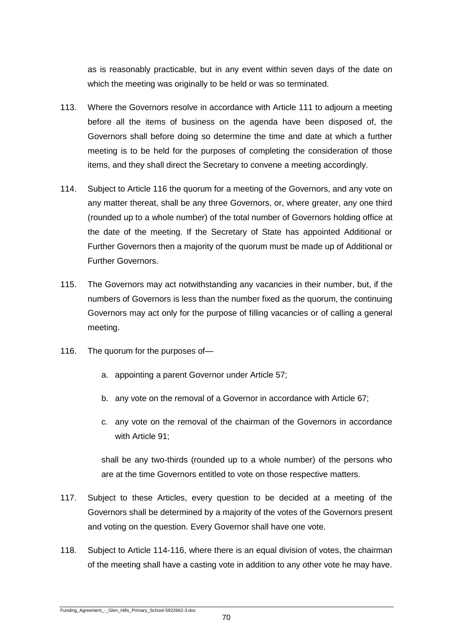as is reasonably practicable, but in any event within seven days of the date on which the meeting was originally to be held or was so terminated.

- 113. Where the Governors resolve in accordance with Article 111 to adjourn a meeting before all the items of business on the agenda have been disposed of, the Governors shall before doing so determine the time and date at which a further meeting is to be held for the purposes of completing the consideration of those items, and they shall direct the Secretary to convene a meeting accordingly.
- 114. Subject to Article 116 the quorum for a meeting of the Governors, and any vote on any matter thereat, shall be any three Governors, or, where greater, any one third (rounded up to a whole number) of the total number of Governors holding office at the date of the meeting. If the Secretary of State has appointed Additional or Further Governors then a majority of the quorum must be made up of Additional or Further Governors.
- 115. The Governors may act notwithstanding any vacancies in their number, but, if the numbers of Governors is less than the number fixed as the quorum, the continuing Governors may act only for the purpose of filling vacancies or of calling a general meeting.
- 116. The quorum for the purposes of
	- a. appointing a parent Governor under Article 57;
	- b. any vote on the removal of a Governor in accordance with Article 67;
	- c. any vote on the removal of the chairman of the Governors in accordance with Article 91;

shall be any two-thirds (rounded up to a whole number) of the persons who are at the time Governors entitled to vote on those respective matters.

- 117. Subject to these Articles, every question to be decided at a meeting of the Governors shall be determined by a majority of the votes of the Governors present and voting on the question. Every Governor shall have one vote.
- 118. Subject to Article 114-116, where there is an equal division of votes, the chairman of the meeting shall have a casting vote in addition to any other vote he may have.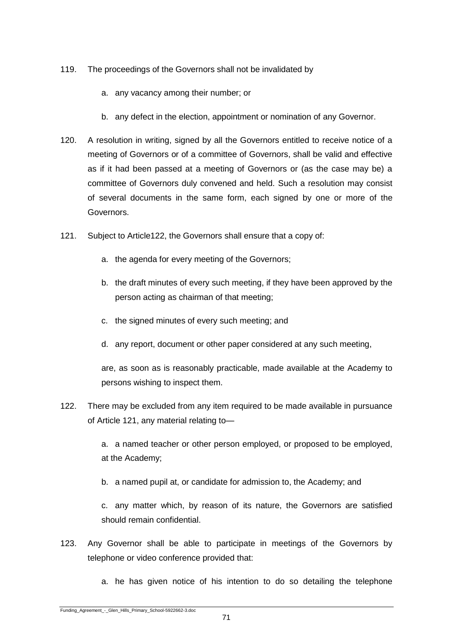- 119. The proceedings of the Governors shall not be invalidated by
	- a. any vacancy among their number; or
	- b. any defect in the election, appointment or nomination of any Governor.
- 120. A resolution in writing, signed by all the Governors entitled to receive notice of a meeting of Governors or of a committee of Governors, shall be valid and effective as if it had been passed at a meeting of Governors or (as the case may be) a committee of Governors duly convened and held. Such a resolution may consist of several documents in the same form, each signed by one or more of the Governors.
- 121. Subject to Article122, the Governors shall ensure that a copy of:
	- a. the agenda for every meeting of the Governors;
	- b. the draft minutes of every such meeting, if they have been approved by the person acting as chairman of that meeting;
	- c. the signed minutes of every such meeting; and
	- d. any report, document or other paper considered at any such meeting,

are, as soon as is reasonably practicable, made available at the Academy to persons wishing to inspect them.

122. There may be excluded from any item required to be made available in pursuance of Article 121, any material relating to—

> a. a named teacher or other person employed, or proposed to be employed, at the Academy;

b. a named pupil at, or candidate for admission to, the Academy; and

c. any matter which, by reason of its nature, the Governors are satisfied should remain confidential.

- 123. Any Governor shall be able to participate in meetings of the Governors by telephone or video conference provided that:
	- a. he has given notice of his intention to do so detailing the telephone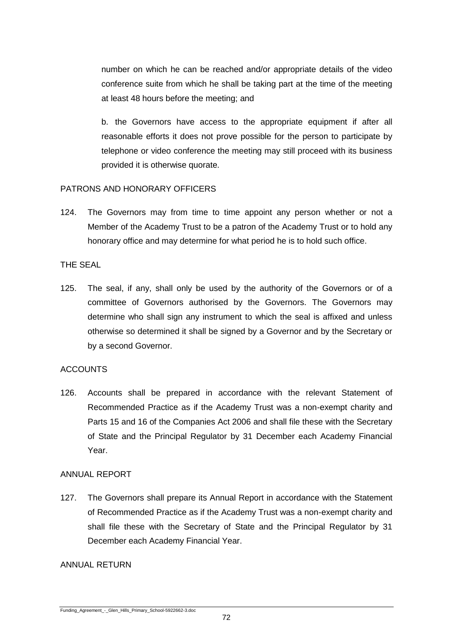number on which he can be reached and/or appropriate details of the video conference suite from which he shall be taking part at the time of the meeting at least 48 hours before the meeting; and

b. the Governors have access to the appropriate equipment if after all reasonable efforts it does not prove possible for the person to participate by telephone or video conference the meeting may still proceed with its business provided it is otherwise quorate.

# PATRONS AND HONORARY OFFICERS

124. The Governors may from time to time appoint any person whether or not a Member of the Academy Trust to be a patron of the Academy Trust or to hold any honorary office and may determine for what period he is to hold such office.

# THE SEAL

125. The seal, if any, shall only be used by the authority of the Governors or of a committee of Governors authorised by the Governors. The Governors may determine who shall sign any instrument to which the seal is affixed and unless otherwise so determined it shall be signed by a Governor and by the Secretary or by a second Governor.

# **ACCOUNTS**

126. Accounts shall be prepared in accordance with the relevant Statement of Recommended Practice as if the Academy Trust was a non-exempt charity and Parts 15 and 16 of the Companies Act 2006 and shall file these with the Secretary of State and the Principal Regulator by 31 December each Academy Financial Year.

#### ANNUAL REPORT

127. The Governors shall prepare its Annual Report in accordance with the Statement of Recommended Practice as if the Academy Trust was a non-exempt charity and shall file these with the Secretary of State and the Principal Regulator by 31 December each Academy Financial Year.

#### ANNUAL RETURN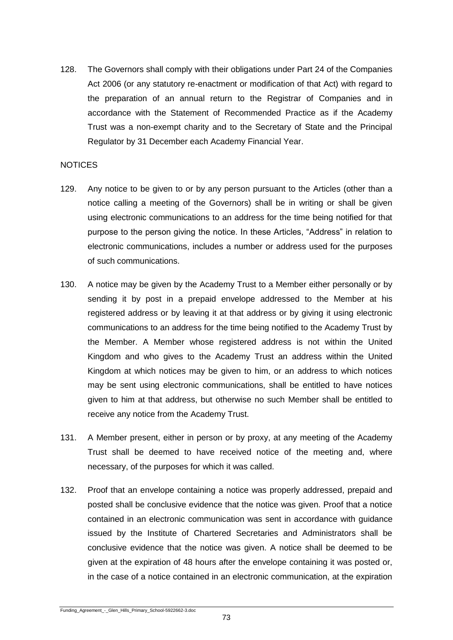128. The Governors shall comply with their obligations under Part 24 of the Companies Act 2006 (or any statutory re-enactment or modification of that Act) with regard to the preparation of an annual return to the Registrar of Companies and in accordance with the Statement of Recommended Practice as if the Academy Trust was a non-exempt charity and to the Secretary of State and the Principal Regulator by 31 December each Academy Financial Year.

### **NOTICES**

- 129. Any notice to be given to or by any person pursuant to the Articles (other than a notice calling a meeting of the Governors) shall be in writing or shall be given using electronic communications to an address for the time being notified for that purpose to the person giving the notice. In these Articles, "Address" in relation to electronic communications, includes a number or address used for the purposes of such communications.
- 130. A notice may be given by the Academy Trust to a Member either personally or by sending it by post in a prepaid envelope addressed to the Member at his registered address or by leaving it at that address or by giving it using electronic communications to an address for the time being notified to the Academy Trust by the Member. A Member whose registered address is not within the United Kingdom and who gives to the Academy Trust an address within the United Kingdom at which notices may be given to him, or an address to which notices may be sent using electronic communications, shall be entitled to have notices given to him at that address, but otherwise no such Member shall be entitled to receive any notice from the Academy Trust.
- 131. A Member present, either in person or by proxy, at any meeting of the Academy Trust shall be deemed to have received notice of the meeting and, where necessary, of the purposes for which it was called.
- 132. Proof that an envelope containing a notice was properly addressed, prepaid and posted shall be conclusive evidence that the notice was given. Proof that a notice contained in an electronic communication was sent in accordance with guidance issued by the Institute of Chartered Secretaries and Administrators shall be conclusive evidence that the notice was given. A notice shall be deemed to be given at the expiration of 48 hours after the envelope containing it was posted or, in the case of a notice contained in an electronic communication, at the expiration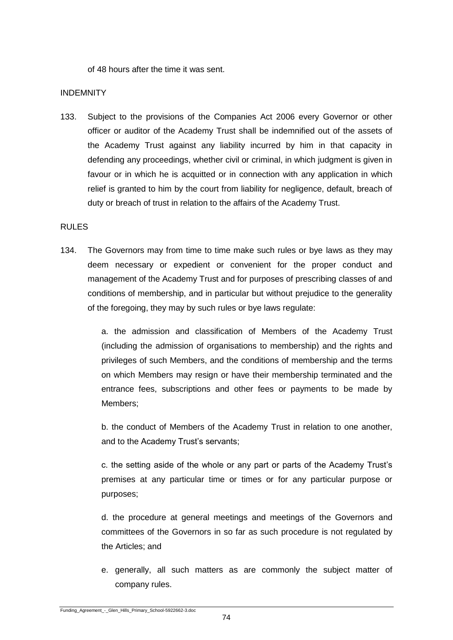of 48 hours after the time it was sent.

#### INDEMNITY

133. Subject to the provisions of the Companies Act 2006 every Governor or other officer or auditor of the Academy Trust shall be indemnified out of the assets of the Academy Trust against any liability incurred by him in that capacity in defending any proceedings, whether civil or criminal, in which judgment is given in favour or in which he is acquitted or in connection with any application in which relief is granted to him by the court from liability for negligence, default, breach of duty or breach of trust in relation to the affairs of the Academy Trust.

#### RULES

134. The Governors may from time to time make such rules or bye laws as they may deem necessary or expedient or convenient for the proper conduct and management of the Academy Trust and for purposes of prescribing classes of and conditions of membership, and in particular but without prejudice to the generality of the foregoing, they may by such rules or bye laws regulate:

> a. the admission and classification of Members of the Academy Trust (including the admission of organisations to membership) and the rights and privileges of such Members, and the conditions of membership and the terms on which Members may resign or have their membership terminated and the entrance fees, subscriptions and other fees or payments to be made by Members;

> b. the conduct of Members of the Academy Trust in relation to one another, and to the Academy Trust's servants;

> c. the setting aside of the whole or any part or parts of the Academy Trust's premises at any particular time or times or for any particular purpose or purposes;

> d. the procedure at general meetings and meetings of the Governors and committees of the Governors in so far as such procedure is not regulated by the Articles; and

> e. generally, all such matters as are commonly the subject matter of company rules.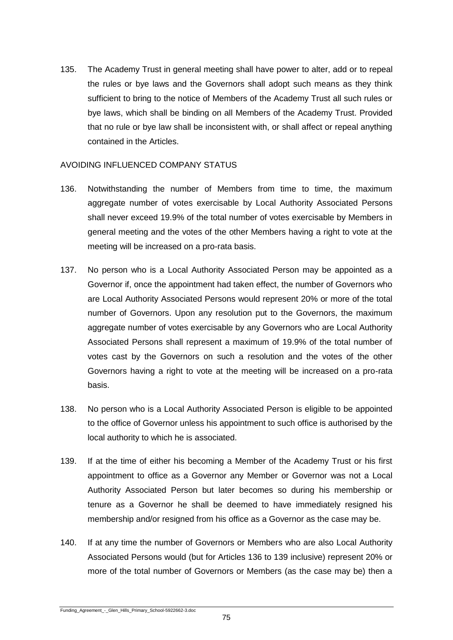135. The Academy Trust in general meeting shall have power to alter, add or to repeal the rules or bye laws and the Governors shall adopt such means as they think sufficient to bring to the notice of Members of the Academy Trust all such rules or bye laws, which shall be binding on all Members of the Academy Trust. Provided that no rule or bye law shall be inconsistent with, or shall affect or repeal anything contained in the Articles.

### AVOIDING INFLUENCED COMPANY STATUS

- 136. Notwithstanding the number of Members from time to time, the maximum aggregate number of votes exercisable by Local Authority Associated Persons shall never exceed 19.9% of the total number of votes exercisable by Members in general meeting and the votes of the other Members having a right to vote at the meeting will be increased on a pro-rata basis.
- 137. No person who is a Local Authority Associated Person may be appointed as a Governor if, once the appointment had taken effect, the number of Governors who are Local Authority Associated Persons would represent 20% or more of the total number of Governors. Upon any resolution put to the Governors, the maximum aggregate number of votes exercisable by any Governors who are Local Authority Associated Persons shall represent a maximum of 19.9% of the total number of votes cast by the Governors on such a resolution and the votes of the other Governors having a right to vote at the meeting will be increased on a pro-rata basis.
- 138. No person who is a Local Authority Associated Person is eligible to be appointed to the office of Governor unless his appointment to such office is authorised by the local authority to which he is associated.
- 139. If at the time of either his becoming a Member of the Academy Trust or his first appointment to office as a Governor any Member or Governor was not a Local Authority Associated Person but later becomes so during his membership or tenure as a Governor he shall be deemed to have immediately resigned his membership and/or resigned from his office as a Governor as the case may be.
- 140. If at any time the number of Governors or Members who are also Local Authority Associated Persons would (but for Articles 136 to 139 inclusive) represent 20% or more of the total number of Governors or Members (as the case may be) then a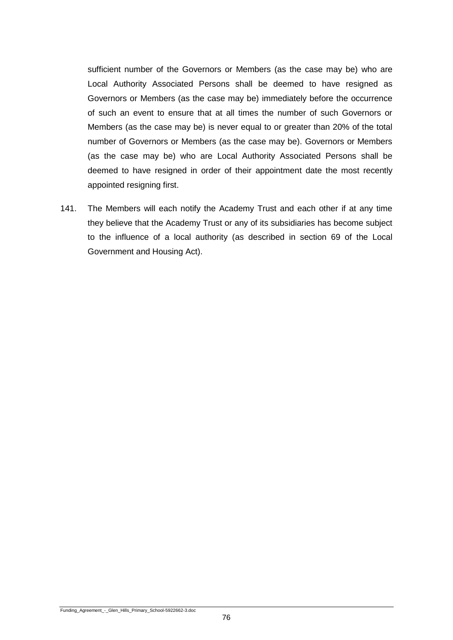sufficient number of the Governors or Members (as the case may be) who are Local Authority Associated Persons shall be deemed to have resigned as Governors or Members (as the case may be) immediately before the occurrence of such an event to ensure that at all times the number of such Governors or Members (as the case may be) is never equal to or greater than 20% of the total number of Governors or Members (as the case may be). Governors or Members (as the case may be) who are Local Authority Associated Persons shall be deemed to have resigned in order of their appointment date the most recently appointed resigning first.

141. The Members will each notify the Academy Trust and each other if at any time they believe that the Academy Trust or any of its subsidiaries has become subject to the influence of a local authority (as described in section 69 of the Local Government and Housing Act).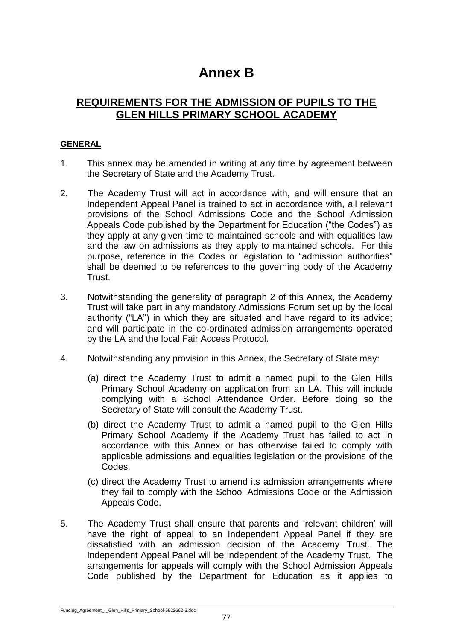# **Annex B**

# **REQUIREMENTS FOR THE ADMISSION OF PUPILS TO THE GLEN HILLS PRIMARY SCHOOL ACADEMY**

## **GENERAL**

- 1. This annex may be amended in writing at any time by agreement between the Secretary of State and the Academy Trust.
- 2. The Academy Trust will act in accordance with, and will ensure that an Independent Appeal Panel is trained to act in accordance with, all relevant provisions of the School Admissions Code and the School Admission Appeals Code published by the Department for Education ("the Codes") as they apply at any given time to maintained schools and with equalities law and the law on admissions as they apply to maintained schools. For this purpose, reference in the Codes or legislation to "admission authorities" shall be deemed to be references to the governing body of the Academy Trust.
- 3. Notwithstanding the generality of paragraph 2 of this Annex, the Academy Trust will take part in any mandatory Admissions Forum set up by the local authority ("LA") in which they are situated and have regard to its advice; and will participate in the co-ordinated admission arrangements operated by the LA and the local Fair Access Protocol.
- 4. Notwithstanding any provision in this Annex, the Secretary of State may:
	- (a) direct the Academy Trust to admit a named pupil to the Glen Hills Primary School Academy on application from an LA. This will include complying with a School Attendance Order. Before doing so the Secretary of State will consult the Academy Trust.
	- (b) direct the Academy Trust to admit a named pupil to the Glen Hills Primary School Academy if the Academy Trust has failed to act in accordance with this Annex or has otherwise failed to comply with applicable admissions and equalities legislation or the provisions of the Codes.
	- (c) direct the Academy Trust to amend its admission arrangements where they fail to comply with the School Admissions Code or the Admission Appeals Code.
- 5. The Academy Trust shall ensure that parents and 'relevant children' will have the right of appeal to an Independent Appeal Panel if they are dissatisfied with an admission decision of the Academy Trust. The Independent Appeal Panel will be independent of the Academy Trust. The arrangements for appeals will comply with the School Admission Appeals Code published by the Department for Education as it applies to

Funding\_Agreement\_-\_Glen\_Hills\_Primary\_School-5922662-3.doc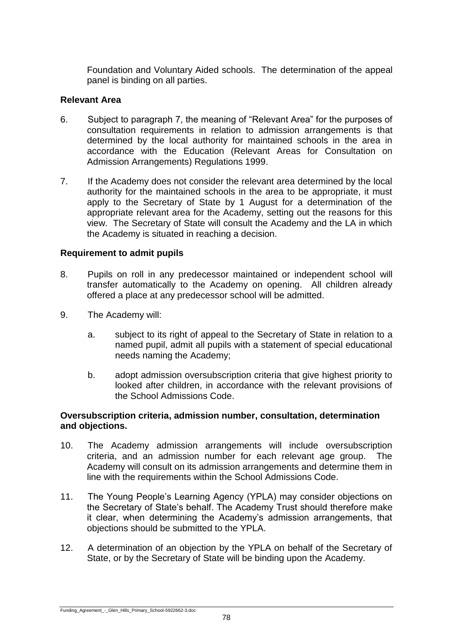Foundation and Voluntary Aided schools. The determination of the appeal panel is binding on all parties.

## **Relevant Area**

- 6. Subject to paragraph 7, the meaning of "Relevant Area" for the purposes of consultation requirements in relation to admission arrangements is that determined by the local authority for maintained schools in the area in accordance with the Education (Relevant Areas for Consultation on Admission Arrangements) Regulations 1999.
- 7. If the Academy does not consider the relevant area determined by the local authority for the maintained schools in the area to be appropriate, it must apply to the Secretary of State by 1 August for a determination of the appropriate relevant area for the Academy, setting out the reasons for this view. The Secretary of State will consult the Academy and the LA in which the Academy is situated in reaching a decision.

## **Requirement to admit pupils**

- 8. Pupils on roll in any predecessor maintained or independent school will transfer automatically to the Academy on opening. All children already offered a place at any predecessor school will be admitted.
- 9. The Academy will:
	- a. subject to its right of appeal to the Secretary of State in relation to a named pupil, admit all pupils with a statement of special educational needs naming the Academy;
	- b. adopt admission oversubscription criteria that give highest priority to looked after children, in accordance with the relevant provisions of the School Admissions Code.

## **Oversubscription criteria, admission number, consultation, determination and objections.**

- 10. The Academy admission arrangements will include oversubscription criteria, and an admission number for each relevant age group. The Academy will consult on its admission arrangements and determine them in line with the requirements within the School Admissions Code.
- 11. The Young People's Learning Agency (YPLA) may consider objections on the Secretary of State's behalf. The Academy Trust should therefore make it clear, when determining the Academy's admission arrangements, that objections should be submitted to the YPLA.
- 12. A determination of an objection by the YPLA on behalf of the Secretary of State, or by the Secretary of State will be binding upon the Academy.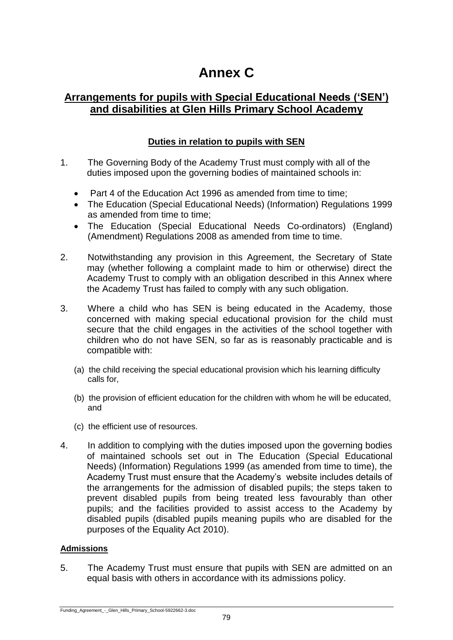# **Annex C**

# **Arrangements for pupils with Special Educational Needs ('SEN') and disabilities at Glen Hills Primary School Academy**

# **Duties in relation to pupils with SEN**

- 1. The Governing Body of the Academy Trust must comply with all of the duties imposed upon the governing bodies of maintained schools in:
	- Part 4 of the Education Act 1996 as amended from time to time;
	- The Education (Special Educational Needs) (Information) Regulations 1999 as amended from time to time;
	- The Education (Special Educational Needs Co-ordinators) (England) (Amendment) Regulations 2008 as amended from time to time.
- 2. Notwithstanding any provision in this Agreement, the Secretary of State may (whether following a complaint made to him or otherwise) direct the Academy Trust to comply with an obligation described in this Annex where the Academy Trust has failed to comply with any such obligation.
- 3. Where a child who has SEN is being educated in the Academy, those concerned with making special educational provision for the child must secure that the child engages in the activities of the school together with children who do not have SEN, so far as is reasonably practicable and is compatible with:
	- (a) the child receiving the special educational provision which his learning difficulty calls for,
	- (b) the provision of efficient education for the children with whom he will be educated, and
	- (c) the efficient use of resources.
- 4. In addition to complying with the duties imposed upon the governing bodies of maintained schools set out in The Education (Special Educational Needs) (Information) Regulations 1999 (as amended from time to time), the Academy Trust must ensure that the Academy's website includes details of the arrangements for the admission of disabled pupils; the steps taken to prevent disabled pupils from being treated less favourably than other pupils; and the facilities provided to assist access to the Academy by disabled pupils (disabled pupils meaning pupils who are disabled for the purposes of the Equality Act 2010).

## **Admissions**

5. The Academy Trust must ensure that pupils with SEN are admitted on an equal basis with others in accordance with its admissions policy.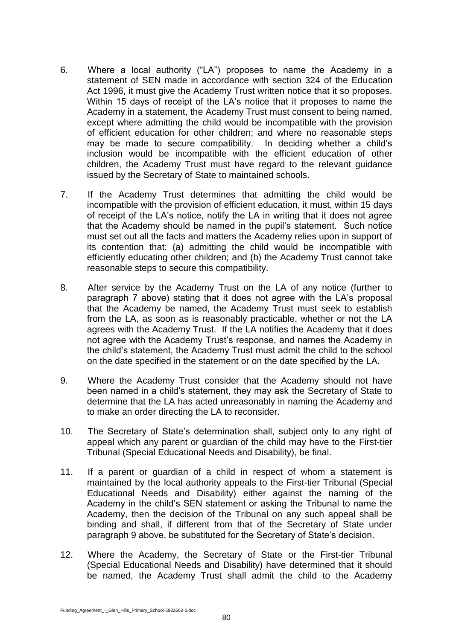- 6. Where a local authority ("LA") proposes to name the Academy in a statement of SEN made in accordance with section 324 of the Education Act 1996, it must give the Academy Trust written notice that it so proposes. Within 15 days of receipt of the LA's notice that it proposes to name the Academy in a statement, the Academy Trust must consent to being named, except where admitting the child would be incompatible with the provision of efficient education for other children; and where no reasonable steps may be made to secure compatibility. In deciding whether a child's inclusion would be incompatible with the efficient education of other children, the Academy Trust must have regard to the relevant guidance issued by the Secretary of State to maintained schools.
- 7. If the Academy Trust determines that admitting the child would be incompatible with the provision of efficient education, it must, within 15 days of receipt of the LA's notice, notify the LA in writing that it does not agree that the Academy should be named in the pupil's statement. Such notice must set out all the facts and matters the Academy relies upon in support of its contention that: (a) admitting the child would be incompatible with efficiently educating other children; and (b) the Academy Trust cannot take reasonable steps to secure this compatibility.
- 8. After service by the Academy Trust on the LA of any notice (further to paragraph 7 above) stating that it does not agree with the LA's proposal that the Academy be named, the Academy Trust must seek to establish from the LA, as soon as is reasonably practicable, whether or not the LA agrees with the Academy Trust. If the LA notifies the Academy that it does not agree with the Academy Trust's response, and names the Academy in the child's statement, the Academy Trust must admit the child to the school on the date specified in the statement or on the date specified by the LA.
- 9. Where the Academy Trust consider that the Academy should not have been named in a child's statement, they may ask the Secretary of State to determine that the LA has acted unreasonably in naming the Academy and to make an order directing the LA to reconsider.
- 10. The Secretary of State's determination shall, subject only to any right of appeal which any parent or guardian of the child may have to the First-tier Tribunal (Special Educational Needs and Disability), be final.
- 11. If a parent or guardian of a child in respect of whom a statement is maintained by the local authority appeals to the First-tier Tribunal (Special Educational Needs and Disability) either against the naming of the Academy in the child's SEN statement or asking the Tribunal to name the Academy, then the decision of the Tribunal on any such appeal shall be binding and shall, if different from that of the Secretary of State under paragraph 9 above, be substituted for the Secretary of State's decision.
- 12. Where the Academy, the Secretary of State or the First-tier Tribunal (Special Educational Needs and Disability) have determined that it should be named, the Academy Trust shall admit the child to the Academy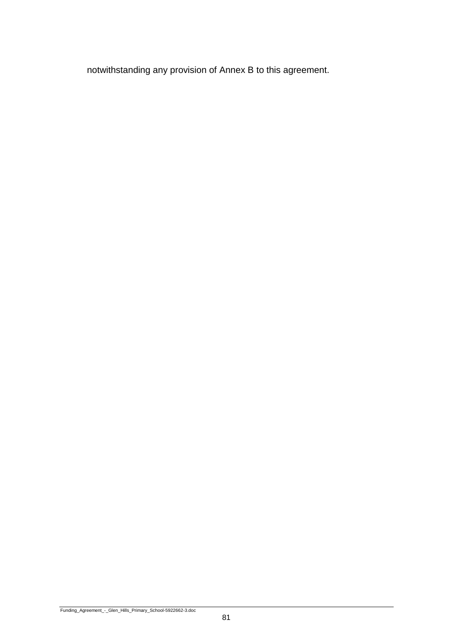notwithstanding any provision of Annex B to this agreement.